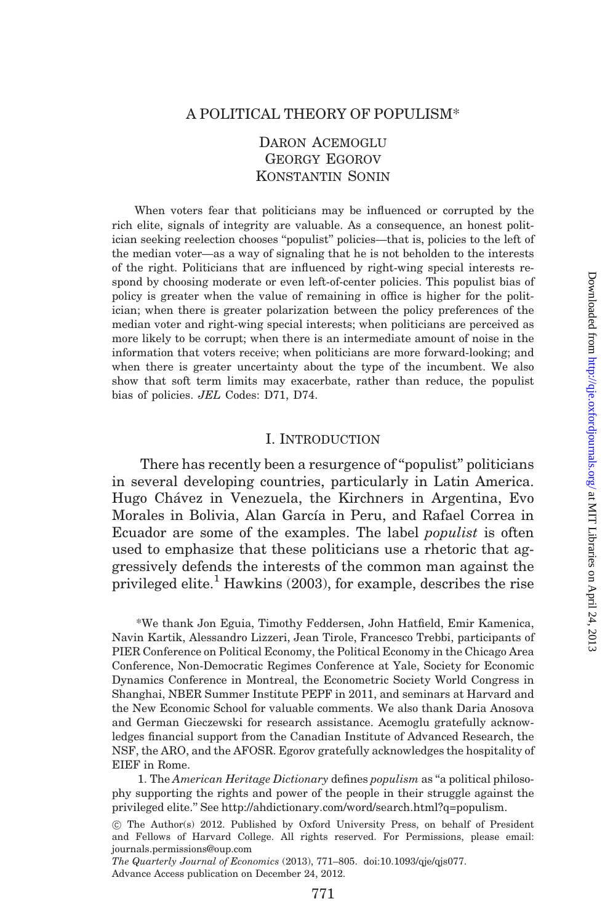## A POLITICAL THEORY OF POPULISM\*

# DARON ACEMOGLU Georgy Egorov Konstantin Sonin

When voters fear that politicians may be influenced or corrupted by the rich elite, signals of integrity are valuable. As a consequence, an honest politician seeking reelection chooses ''populist'' policies—that is, policies to the left of the median voter—as a way of signaling that he is not beholden to the interests of the right. Politicians that are influenced by right-wing special interests respond by choosing moderate or even left-of-center policies. This populist bias of policy is greater when the value of remaining in office is higher for the politician; when there is greater polarization between the policy preferences of the median voter and right-wing special interests; when politicians are perceived as more likely to be corrupt; when there is an intermediate amount of noise in the information that voters receive; when politicians are more forward-looking; and when there is greater uncertainty about the type of the incumbent. We also show that soft term limits may exacerbate, rather than reduce, the populist bias of policies. JEL Codes: D71, D74.

### I. INTRODUCTION

There has recently been a resurgence of ''populist'' politicians in several developing countries, particularly in Latin America. Hugo Chávez in Venezuela, the Kirchners in Argentina, Evo Morales in Bolivia, Alan García in Peru, and Rafael Correa in Ecuador are some of the examples. The label populist is often used to emphasize that these politicians use a rhetoric that aggressively defends the interests of the common man against the privileged elite.<sup>1</sup> [Hawkins \(2003\)](#page-33-0), for example, describes the rise

\*We thank Jon Eguia, Timothy Feddersen, John Hatfield, Emir Kamenica, Navin Kartik, Alessandro Lizzeri, Jean Tirole, Francesco Trebbi, participants of PIER Conference on Political Economy, the Political Economy in the Chicago Area Conference, Non-Democratic Regimes Conference at Yale, Society for Economic Dynamics Conference in Montreal, the Econometric Society World Congress in Shanghai, NBER Summer Institute PEPF in 2011, and seminars at Harvard and the New Economic School for valuable comments. We also thank Daria Anosova and German Gieczewski for research assistance. Acemoglu gratefully acknowledges financial support from the Canadian Institute of Advanced Research, the NSF, the ARO, and the AFOSR. Egorov gratefully acknowledges the hospitality of EIEF in Rome.

1. The American Heritage Dictionary defines populism as ''a political philosophy supporting the rights and power of the people in their struggle against the privileged elite.'' See [http://ahdictionary.com/word/search.html?q=populism.](http://ahdictionary.com/word/search.html?q=populism)

The Quarterly Journal of Economics (2013), 771–805. doi:10.1093/qje/qjs077. Advance Access publication on December 24, 2012.

<sup>!</sup> The Author(s) 2012. Published by Oxford University Press, on behalf of President and Fellows of Harvard College. All rights reserved. For Permissions, please email: journals.permissions@oup.com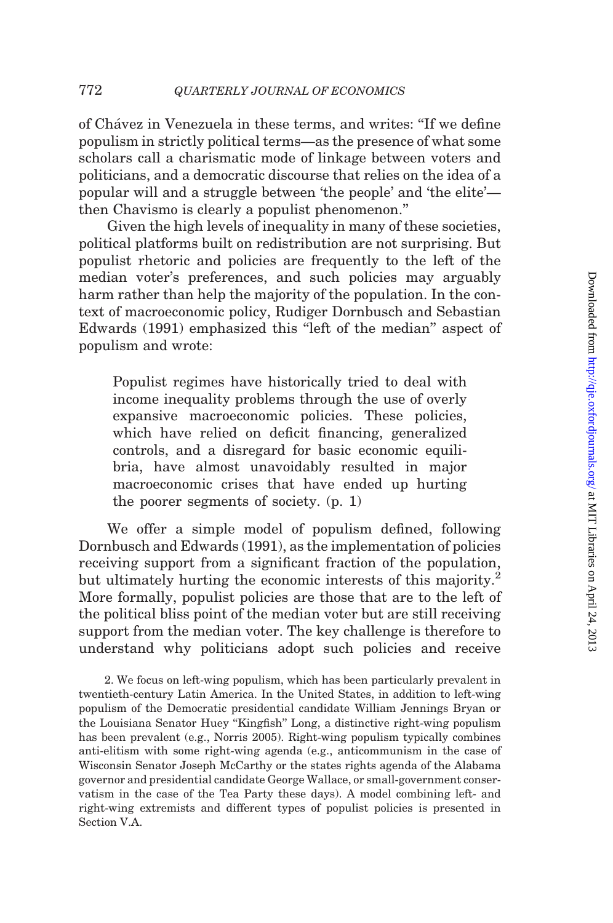of Cha´vez in Venezuela in these terms, and writes: ''If we define populism in strictly political terms—as the presence of what some scholars call a charismatic mode of linkage between voters and politicians, and a democratic discourse that relies on the idea of a popular will and a struggle between 'the people' and 'the elite' then Chavismo is clearly a populist phenomenon.''

Given the high levels of inequality in many of these societies, political platforms built on redistribution are not surprising. But populist rhetoric and policies are frequently to the left of the median voter's preferences, and such policies may arguably harm rather than help the majority of the population. In the context of macroeconomic policy, [Rudiger Dornbusch and Sebastian](#page-33-0) [Edwards \(1991\)](#page-33-0) emphasized this "left of the median" aspect of populism and wrote:

Populist regimes have historically tried to deal with income inequality problems through the use of overly expansive macroeconomic policies. These policies, which have relied on deficit financing, generalized controls, and a disregard for basic economic equilibria, have almost unavoidably resulted in major macroeconomic crises that have ended up hurting the poorer segments of society. (p. 1)

We offer a simple model of populism defined, following [Dornbusch and Edwards \(1991\),](#page-33-0) as the implementation of policies receiving support from a significant fraction of the population, but ultimately hurting the economic interests of this majority.<sup>2</sup> More formally, populist policies are those that are to the left of the political bliss point of the median voter but are still receiving support from the median voter. The key challenge is therefore to understand why politicians adopt such policies and receive

<sup>2.</sup> We focus on left-wing populism, which has been particularly prevalent in twentieth-century Latin America. In the United States, in addition to left-wing populism of the Democratic presidential candidate William Jennings Bryan or the Louisiana Senator Huey ''Kingfish'' Long, a distinctive right-wing populism has been prevalent (e.g., [Norris 2005\)](#page-33-0). Right-wing populism typically combines anti-elitism with some right-wing agenda (e.g., anticommunism in the case of Wisconsin Senator Joseph McCarthy or the states rights agenda of the Alabama governor and presidential candidate George Wallace, or small-government conservatism in the case of the Tea Party these days). A model combining left- and right-wing extremists and different types of populist policies is presented in Section V.A.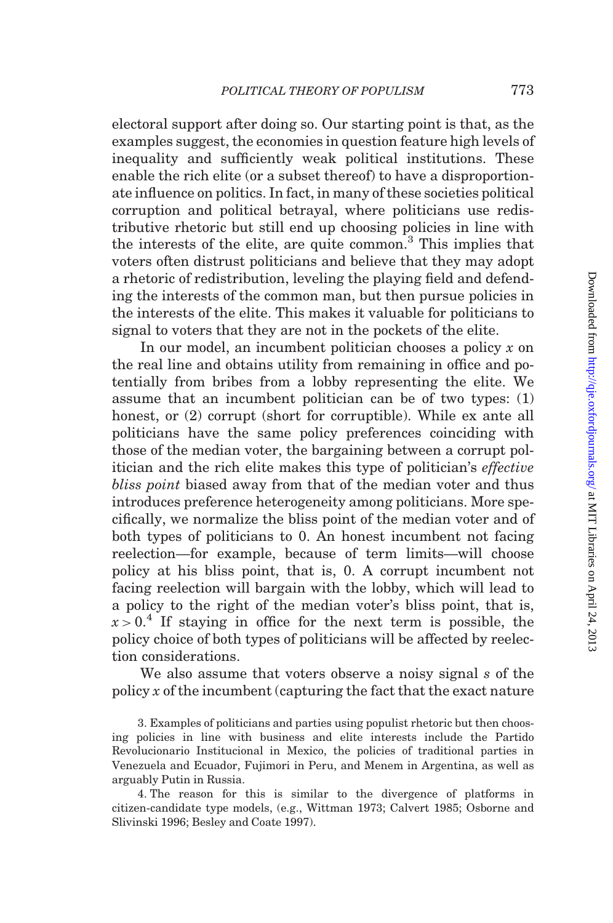electoral support after doing so. Our starting point is that, as the examples suggest, the economies in question feature high levels of inequality and sufficiently weak political institutions. These enable the rich elite (or a subset thereof) to have a disproportionate influence on politics. In fact, in many of these societies political corruption and political betrayal, where politicians use redistributive rhetoric but still end up choosing policies in line with the interests of the elite, are quite common.<sup>3</sup> This implies that voters often distrust politicians and believe that they may adopt a rhetoric of redistribution, leveling the playing field and defending the interests of the common man, but then pursue policies in the interests of the elite. This makes it valuable for politicians to signal to voters that they are not in the pockets of the elite.

In our model, an incumbent politician chooses a policy x on the real line and obtains utility from remaining in office and potentially from bribes from a lobby representing the elite. We assume that an incumbent politician can be of two types: (1) honest, or (2) corrupt (short for corruptible). While ex ante all politicians have the same policy preferences coinciding with those of the median voter, the bargaining between a corrupt politician and the rich elite makes this type of politician's effective bliss point biased away from that of the median voter and thus introduces preference heterogeneity among politicians. More specifically, we normalize the bliss point of the median voter and of both types of politicians to 0. An honest incumbent not facing reelection—for example, because of term limits—will choose policy at his bliss point, that is, 0. A corrupt incumbent not facing reelection will bargain with the lobby, which will lead to a policy to the right of the median voter's bliss point, that is,  $x > 0<sup>4</sup>$  If staying in office for the next term is possible, the policy choice of both types of politicians will be affected by reelection considerations.

We also assume that voters observe a noisy signal s of the policy x of the incumbent (capturing the fact that the exact nature

3. Examples of politicians and parties using populist rhetoric but then choosing policies in line with business and elite interests include the Partido Revolucionario Institucional in Mexico, the policies of traditional parties in Venezuela and Ecuador, Fujimori in Peru, and Menem in Argentina, as well as arguably Putin in Russia.

4. The reason for this is similar to the divergence of platforms in citizen-candidate type models, (e.g., [Wittman 1973](#page-34-0); [Calvert 1985; Osborne and](#page-33-0) [Slivinski 1996;](#page-33-0) [Besley and Coate 1997](#page-32-0)).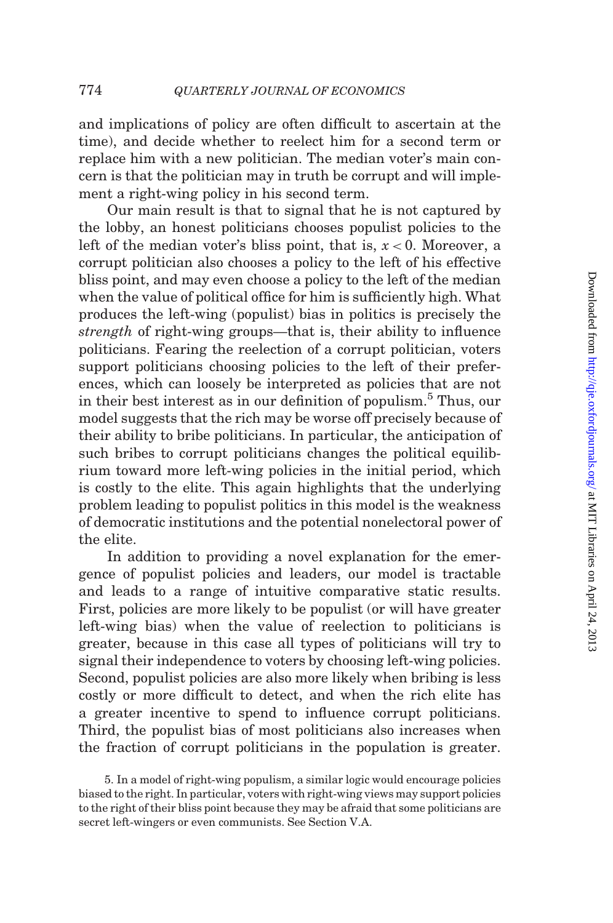and implications of policy are often difficult to ascertain at the time), and decide whether to reelect him for a second term or replace him with a new politician. The median voter's main concern is that the politician may in truth be corrupt and will implement a right-wing policy in his second term.

Our main result is that to signal that he is not captured by the lobby, an honest politicians chooses populist policies to the left of the median voter's bliss point, that is,  $x < 0$ . Moreover, a corrupt politician also chooses a policy to the left of his effective bliss point, and may even choose a policy to the left of the median when the value of political office for him is sufficiently high. What produces the left-wing (populist) bias in politics is precisely the strength of right-wing groups—that is, their ability to influence politicians. Fearing the reelection of a corrupt politician, voters support politicians choosing policies to the left of their preferences, which can loosely be interpreted as policies that are not in their best interest as in our definition of populism.<sup>5</sup> Thus, our model suggests that the rich may be worse off precisely because of their ability to bribe politicians. In particular, the anticipation of such bribes to corrupt politicians changes the political equilibrium toward more left-wing policies in the initial period, which is costly to the elite. This again highlights that the underlying problem leading to populist politics in this model is the weakness of democratic institutions and the potential nonelectoral power of the elite.

In addition to providing a novel explanation for the emergence of populist policies and leaders, our model is tractable and leads to a range of intuitive comparative static results. First, policies are more likely to be populist (or will have greater left-wing bias) when the value of reelection to politicians is greater, because in this case all types of politicians will try to signal their independence to voters by choosing left-wing policies. Second, populist policies are also more likely when bribing is less costly or more difficult to detect, and when the rich elite has a greater incentive to spend to influence corrupt politicians. Third, the populist bias of most politicians also increases when the fraction of corrupt politicians in the population is greater.

<sup>5.</sup> In a model of right-wing populism, a similar logic would encourage policies biased to the right. In particular, voters with right-wing views may support policies to the right of their bliss point because they may be afraid that some politicians are secret left-wingers or even communists. See Section V.A.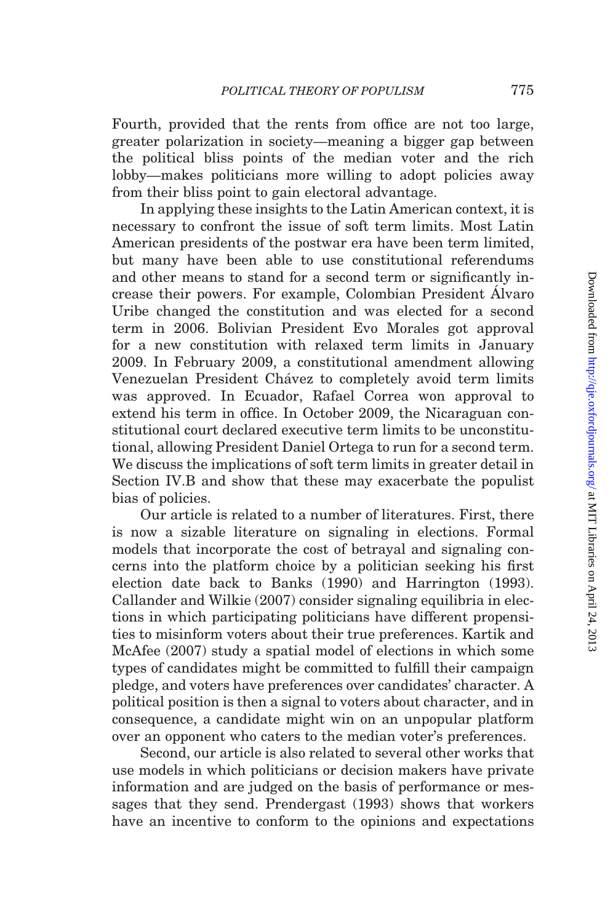Fourth, provided that the rents from office are not too large, greater polarization in society—meaning a bigger gap between the political bliss points of the median voter and the rich lobby—makes politicians more willing to adopt policies away from their bliss point to gain electoral advantage.

In applying these insights to the Latin American context, it is necessary to confront the issue of soft term limits. Most Latin American presidents of the postwar era have been term limited, but many have been able to use constitutional referendums and other means to stand for a second term or significantly increase their powers. For example, Colombian President Alvaro Uribe changed the constitution and was elected for a second term in 2006. Bolivian President Evo Morales got approval for a new constitution with relaxed term limits in January 2009. In February 2009, a constitutional amendment allowing Venezuelan President Chávez to completely avoid term limits was approved. In Ecuador, Rafael Correa won approval to extend his term in office. In October 2009, the Nicaraguan constitutional court declared executive term limits to be unconstitutional, allowing President Daniel Ortega to run for a second term. We discuss the implications of soft term limits in greater detail in Section IV.B and show that these may exacerbate the populist bias of policies.

Our article is related to a number of literatures. First, there is now a sizable literature on signaling in elections. Formal models that incorporate the cost of betrayal and signaling concerns into the platform choice by a politician seeking his first election date back to [Banks \(1990\)](#page-32-0) and [Harrington \(1993\).](#page-33-0) [Callander and Wilkie \(2007\)](#page-33-0) consider signaling equilibria in elections in which participating politicians have different propensities to misinform voters about their true preferences. [Kartik and](#page-33-0) [McAfee \(2007\)](#page-33-0) study a spatial model of elections in which some types of candidates might be committed to fulfill their campaign pledge, and voters have preferences over candidates' character. A political position is then a signal to voters about character, and in consequence, a candidate might win on an unpopular platform over an opponent who caters to the median voter's preferences.

Second, our article is also related to several other works that use models in which politicians or decision makers have private information and are judged on the basis of performance or messages that they send. [Prendergast \(1993\)](#page-34-0) shows that workers have an incentive to conform to the opinions and expectations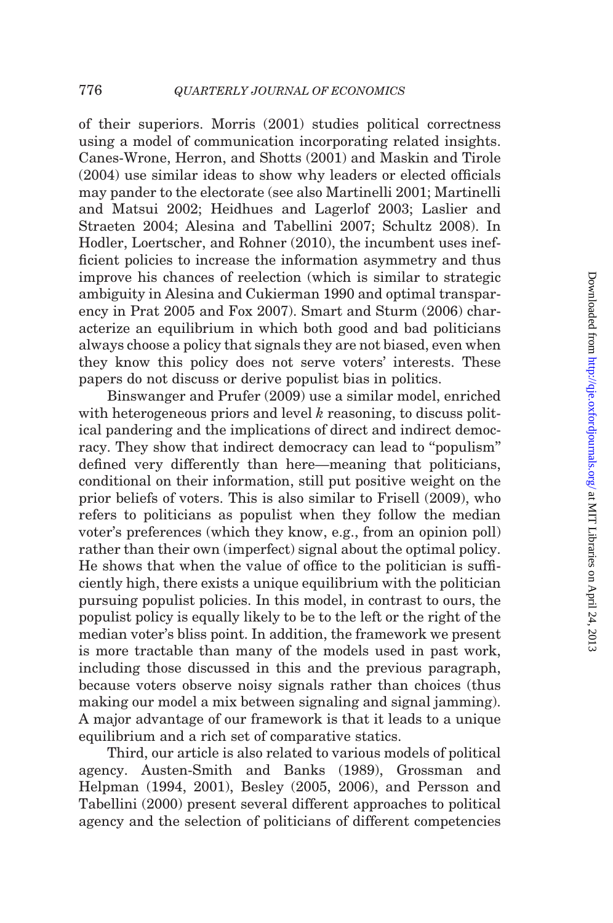of their superiors. [Morris \(2001\)](#page-33-0) studies political correctness using a model of communication incorporating related insights. [Canes-Wrone, Herron, and Shotts \(2001\)](#page-33-0) and [Maskin and Tirole](#page-33-0) [\(2004\)](#page-33-0) use similar ideas to show why leaders or elected officials may pander to the electorate (see also [Martinelli 2001](#page-33-0); [Martinelli](#page-33-0) [and Matsui 2002](#page-33-0); [Heidhues and Lagerlof 2003; Laslier and](#page-33-0) [Straeten 2004;](#page-33-0) [Alesina and Tabellini 2007](#page-32-0); [Schultz 2008\)](#page-34-0). In [Hodler, Loertscher, and Rohner \(2010\)](#page-33-0), the incumbent uses inefficient policies to increase the information asymmetry and thus improve his chances of reelection (which is similar to strategic ambiguity in [Alesina and Cukierman 1990](#page-32-0) and optimal transparency in [Prat 2005](#page-34-0) and [Fox 2007\)](#page-33-0). [Smart and Sturm \(2006\)](#page-34-0) characterize an equilibrium in which both good and bad politicians always choose a policy that signals they are not biased, even when they know this policy does not serve voters' interests. These papers do not discuss or derive populist bias in politics.

[Binswanger and Prufer \(2009\)](#page-33-0) use a similar model, enriched with heterogeneous priors and level k reasoning, to discuss political pandering and the implications of direct and indirect democracy. They show that indirect democracy can lead to "populism" defined very differently than here—meaning that politicians, conditional on their information, still put positive weight on the prior beliefs of voters. This is also similar to [Frisell \(2009\)](#page-33-0), who refers to politicians as populist when they follow the median voter's preferences (which they know, e.g., from an opinion poll) rather than their own (imperfect) signal about the optimal policy. He shows that when the value of office to the politician is sufficiently high, there exists a unique equilibrium with the politician pursuing populist policies. In this model, in contrast to ours, the populist policy is equally likely to be to the left or the right of the median voter's bliss point. In addition, the framework we present is more tractable than many of the models used in past work, including those discussed in this and the previous paragraph, because voters observe noisy signals rather than choices (thus making our model a mix between signaling and signal jamming). A major advantage of our framework is that it leads to a unique equilibrium and a rich set of comparative statics.

Third, our article is also related to various models of political agency. [Austen-Smith and Banks \(1989\),](#page-32-0) Grossman and Helpman [\(1994](#page-33-0), [2001](#page-33-0)), Besley [\(2005](#page-32-0), [2006\)](#page-32-0), and [Persson and](#page-33-0) [Tabellini \(2000\)](#page-33-0) present several different approaches to political agency and the selection of politicians of different competencies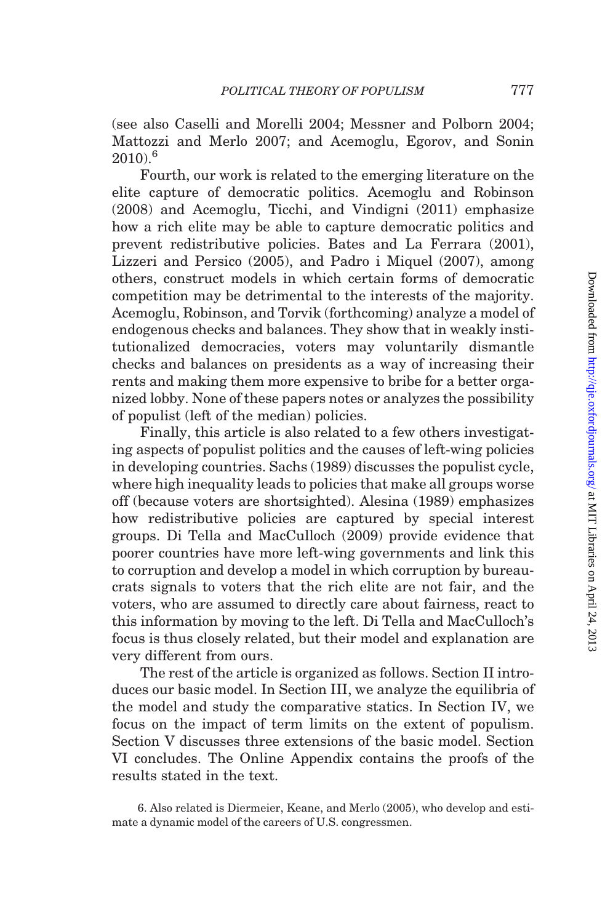(see also [Caselli and Morelli 2004](#page-33-0); [Messner and Polborn 2004;](#page-33-0) [Mattozzi and Merlo 2007](#page-33-0); and [Acemoglu, Egorov, and Sonin](#page-32-0)  $(2010)^6$  $(2010)^6$  $(2010)^6$ 

Fourth, our work is related to the emerging literature on the elite capture of democratic politics. [Acemoglu and Robinson](#page-32-0) [\(2008\)](#page-32-0) and [Acemoglu, Ticchi, and Vindigni \(2011\)](#page-32-0) emphasize how a rich elite may be able to capture democratic politics and prevent redistributive policies. [Bates and La Ferrara \(2001\),](#page-32-0) [Lizzeri and Persico \(2005\)](#page-33-0), and [Padro i Miquel \(2007\)](#page-33-0), among others, construct models in which certain forms of democratic competition may be detrimental to the interests of the majority. [Acemoglu, Robinson, and Torvik \(forthcoming\)](#page-32-0) analyze a model of endogenous checks and balances. They show that in weakly institutionalized democracies, voters may voluntarily dismantle checks and balances on presidents as a way of increasing their rents and making them more expensive to bribe for a better organized lobby. None of these papers notes or analyzes the possibility of populist (left of the median) policies.

Finally, this article is also related to a few others investigating aspects of populist politics and the causes of left-wing policies in developing countries. [Sachs \(1989\)](#page-34-0) discusses the populist cycle, where high inequality leads to policies that make all groups worse off (because voters are shortsighted). [Alesina \(1989\)](#page-32-0) emphasizes how redistributive policies are captured by special interest groups. [Di Tella and MacCulloch \(2009\)](#page-33-0) provide evidence that poorer countries have more left-wing governments and link this to corruption and develop a model in which corruption by bureaucrats signals to voters that the rich elite are not fair, and the voters, who are assumed to directly care about fairness, react to this information by moving to the left. Di Tella and MacCulloch's focus is thus closely related, but their model and explanation are very different from ours.

The rest of the article is organized as follows. Section II introduces our basic model. In Section III, we analyze the equilibria of the model and study the comparative statics. In Section IV, we focus on the impact of term limits on the extent of populism. Section V discusses three extensions of the basic model. Section VI concludes. The [Online Appendix](http://hwmaint.qje.oxfordjournals.org/lookup/suppl/doi:10.1093/qje/qjs077/-/DC1) contains the proofs of the results stated in the text.

<sup>6.</sup> Also related is [Diermeier, Keane, and Merlo \(2005\)](#page-33-0), who develop and estimate a dynamic model of the careers of U.S. congressmen.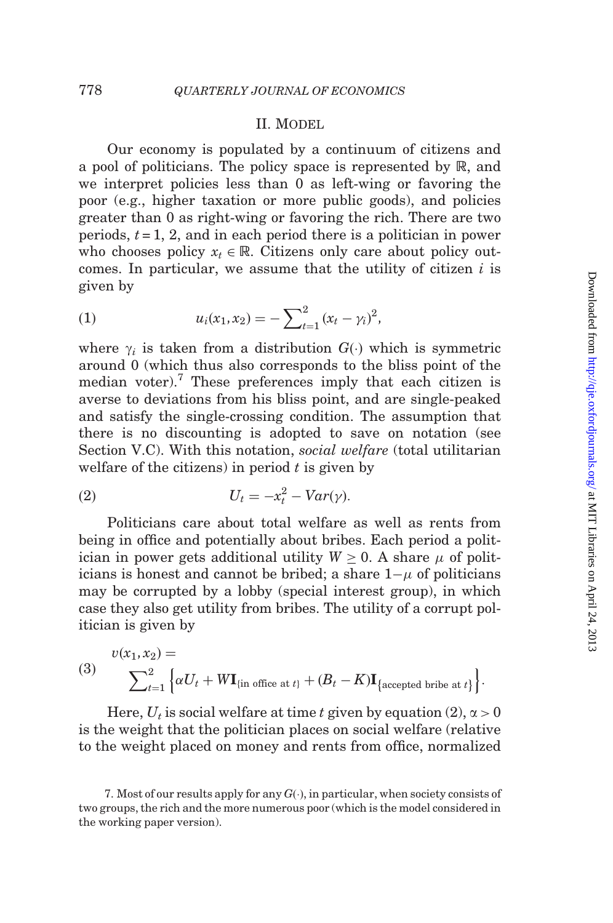#### II. Model

<span id="page-7-0"></span>Our economy is populated by a continuum of citizens and a pool of politicians. The policy space is represented by R, and we interpret policies less than 0 as left-wing or favoring the poor (e.g., higher taxation or more public goods), and policies greater than 0 as right-wing or favoring the rich. There are two periods,  $t = 1, 2$ , and in each period there is a politician in power who chooses policy  $x_t \in \mathbb{R}$ . Citizens only care about policy outcomes. In particular, we assume that the utility of citizen  $i$  is given by

(1) 
$$
u_i(x_1,x_2) = -\sum_{t=1}^2 (x_t - \gamma_i)^2,
$$

where  $\gamma_i$  is taken from a distribution  $G(\cdot)$  which is symmetric around 0 (which thus also corresponds to the bliss point of the median voter).<sup>7</sup> These preferences imply that each citizen is averse to deviations from his bliss point, and are single-peaked and satisfy the single-crossing condition. The assumption that there is no discounting is adopted to save on notation (see Section V.C). With this notation, *social welfare* (total utilitarian welfare of the citizens) in period  $t$  is given by

$$
(2) \t\t\t U_t = -x_t^2 - Var(\gamma).
$$

Politicians care about total welfare as well as rents from being in office and potentially about bribes. Each period a politician in power gets additional utility  $W > 0$ . A share  $\mu$  of politicians is honest and cannot be bribed; a share  $1-\mu$  of politicians may be corrupted by a lobby (special interest group), in which case they also get utility from bribes. The utility of a corrupt politician is given by

(3) 
$$
v(x_1, x_2) = \sum_{t=1}^{2} \left\{ \alpha U_t + W \mathbf{I}_{\text{ (in office at } t)} + (B_t - K) \mathbf{I}_{\text{accepted bribe at } t} \right\}.
$$

Here,  $U_t$  is social welfare at time t given by equation (2),  $\alpha > 0$ is the weight that the politician places on social welfare (relative to the weight placed on money and rents from office, normalized

<sup>7.</sup> Most of our results apply for any  $G(\cdot)$ , in particular, when society consists of two groups, the rich and the more numerous poor (which is the model considered in the working paper version).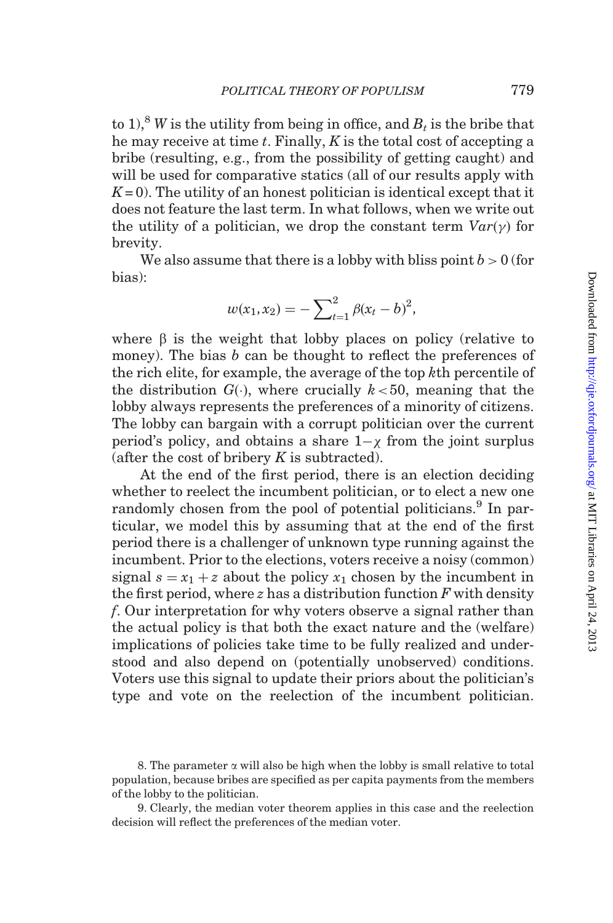to 1),<sup>8</sup> W is the utility from being in office, and  $B_t$  is the bribe that he may receive at time  $t$ . Finally,  $K$  is the total cost of accepting a bribe (resulting, e.g., from the possibility of getting caught) and will be used for comparative statics (all of our results apply with  $K = 0$ ). The utility of an honest politician is identical except that it does not feature the last term. In what follows, when we write out the utility of a politician, we drop the constant term  $Var(y)$  for brevity.

We also assume that there is a lobby with bliss point  $b > 0$  (for bias):

$$
w(x_1, x_2) = -\sum_{t=1}^2 \beta(x_t - b)^2,
$$

where  $\beta$  is the weight that lobby places on policy (relative to money). The bias  $b$  can be thought to reflect the preferences of the rich elite, for example, the average of the top kth percentile of the distribution  $G(\cdot)$ , where crucially  $k < 50$ , meaning that the lobby always represents the preferences of a minority of citizens. The lobby can bargain with a corrupt politician over the current period's policy, and obtains a share  $1-\chi$  from the joint surplus (after the cost of bribery  $K$  is subtracted).

At the end of the first period, there is an election deciding whether to reelect the incumbent politician, or to elect a new one randomly chosen from the pool of potential politicians.<sup>9</sup> In particular, we model this by assuming that at the end of the first period there is a challenger of unknown type running against the incumbent. Prior to the elections, voters receive a noisy (common) signal  $s = x_1 + z$  about the policy  $x_1$  chosen by the incumbent in the first period, where  $z$  has a distribution function  $F$  with density f. Our interpretation for why voters observe a signal rather than the actual policy is that both the exact nature and the (welfare) implications of policies take time to be fully realized and understood and also depend on (potentially unobserved) conditions. Voters use this signal to update their priors about the politician's type and vote on the reelection of the incumbent politician.

<sup>8.</sup> The parameter  $\alpha$  will also be high when the lobby is small relative to total population, because bribes are specified as per capita payments from the members of the lobby to the politician.

<sup>9.</sup> Clearly, the median voter theorem applies in this case and the reelection decision will reflect the preferences of the median voter.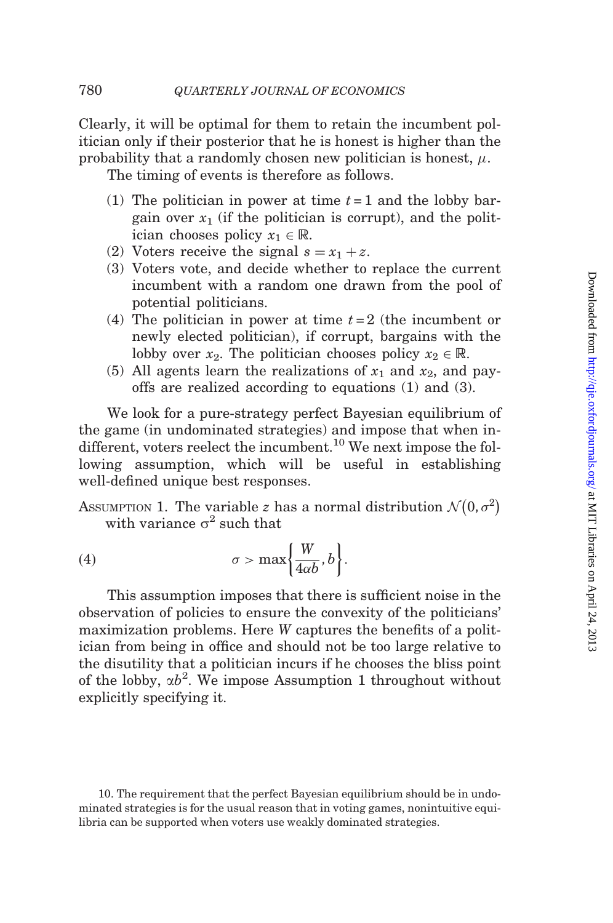Clearly, it will be optimal for them to retain the incumbent politician only if their posterior that he is honest is higher than the probability that a randomly chosen new politician is honest,  $\mu$ .

The timing of events is therefore as follows.

- (1) The politician in power at time  $t = 1$  and the lobby bargain over  $x_1$  (if the politician is corrupt), and the politician chooses policy  $x_1 \in \mathbb{R}$ .
- (2) Voters receive the signal  $s = x_1 + z$ .
- (3) Voters vote, and decide whether to replace the current incumbent with a random one drawn from the pool of potential politicians.
- (4) The politician in power at time  $t = 2$  (the incumbent or newly elected politician), if corrupt, bargains with the lobby over  $x_2$ . The politician chooses policy  $x_2 \in \mathbb{R}$ .
- (5) All agents learn the realizations of  $x_1$  and  $x_2$ , and payoffs are realized according to [equations \(1\)](#page-7-0) and [\(3\).](#page-7-0)

We look for a pure-strategy perfect Bayesian equilibrium of the game (in undominated strategies) and impose that when indifferent, voters reelect the incumbent.<sup>10</sup> We next impose the following assumption, which will be useful in establishing well-defined unique best responses.

Assumption 1. The variable z has a normal distribution  $\mathcal{N}(0, \sigma^2)$ with variance  $\sigma^2$  such that

(4) 
$$
\sigma > \max \left\{ \frac{W}{4\alpha b}, b \right\}.
$$

This assumption imposes that there is sufficient noise in the observation of policies to ensure the convexity of the politicians' maximization problems. Here W captures the benefits of a politician from being in office and should not be too large relative to the disutility that a politician incurs if he chooses the bliss point of the lobby,  $\alpha b^2$ . We impose Assumption 1 throughout without explicitly specifying it.

<sup>10.</sup> The requirement that the perfect Bayesian equilibrium should be in undominated strategies is for the usual reason that in voting games, nonintuitive equilibria can be supported when voters use weakly dominated strategies.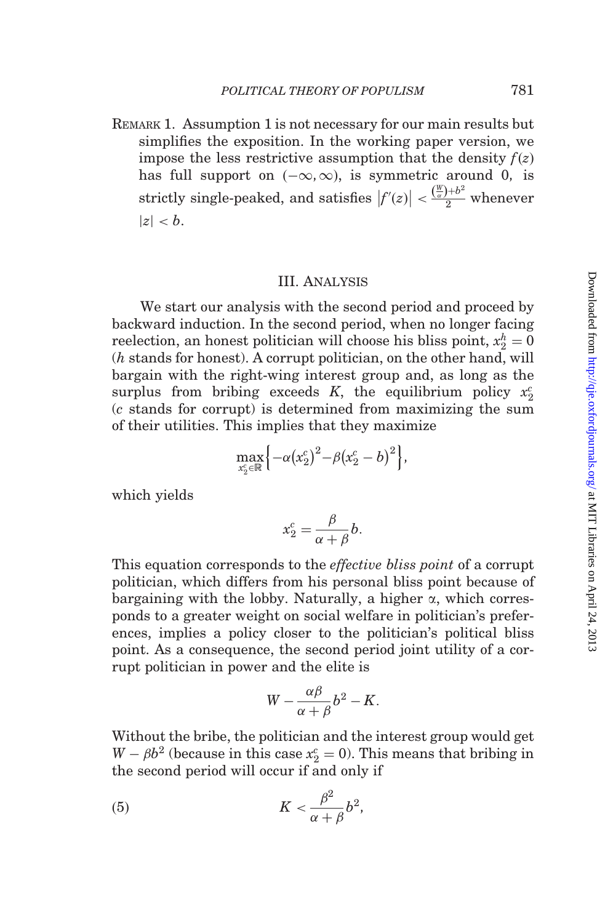REMARK 1. Assumption 1 is not necessary for our main results but simplifies the exposition. In the working paper version, we impose the less restrictive assumption that the density  $f(z)$ has full support on  $(-\infty, \infty)$ , is symmetric around 0, is strictly single-peaked, and satisfies  $\left|f'(z)\right| < \frac{\left(\frac{W}{c}\right) + b^2}{2}$  whenever  $|z| < b$ .

### III. Analysis

We start our analysis with the second period and proceed by backward induction. In the second period, when no longer facing reelection, an honest politician will choose his bliss point,  $x_2^h = 0$ (h stands for honest). A corrupt politician, on the other hand, will bargain with the right-wing interest group and, as long as the surplus from bribing exceeds K, the equilibrium policy  $x_2^c$ (c stands for corrupt) is determined from maximizing the sum of their utilities. This implies that they maximize

$$
\max_{x_2^c\in\mathbb{R}}\Bigl\{-\alpha\bigl(x_2^c\bigr)^2\!-\!\beta\bigl(x_2^c-b\bigr)^2\Bigr\},
$$

which yields

$$
x_2^c = \frac{\beta}{\alpha + \beta}b.
$$

This equation corresponds to the *effective bliss point* of a corrupt politician, which differs from his personal bliss point because of bargaining with the lobby. Naturally, a higher  $\alpha$ , which corresponds to a greater weight on social welfare in politician's preferences, implies a policy closer to the politician's political bliss point. As a consequence, the second period joint utility of a corrupt politician in power and the elite is

$$
W - \frac{\alpha \beta}{\alpha + \beta} b^2 - K.
$$

Without the bribe, the politician and the interest group would get  $W - \beta b^2$  (because in this case  $x_2^c = 0$ ). This means that bribing in the second period will occur if and only if

(5) 
$$
K < \frac{\beta^2}{\alpha + \beta} b^2,
$$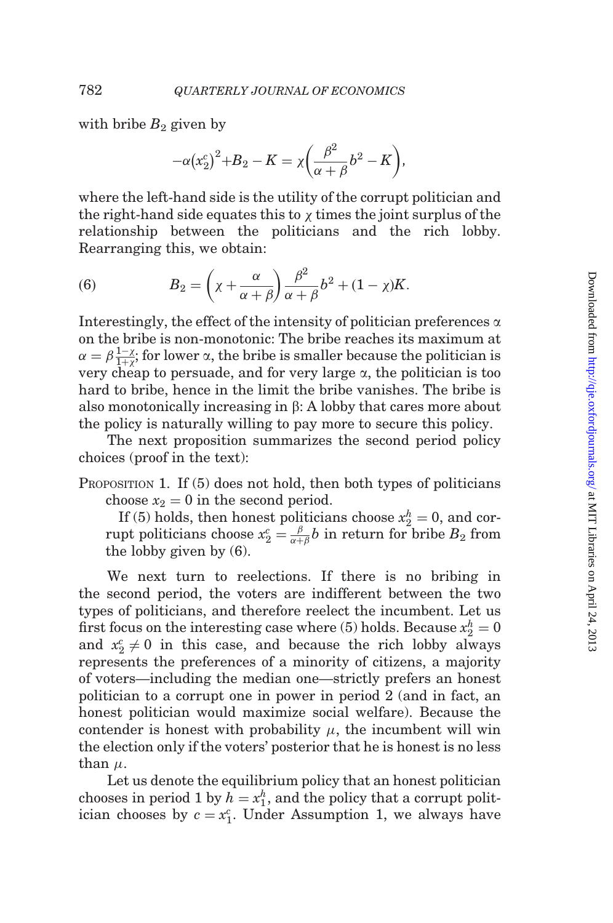with bribe  $B_2$  given by

$$
-\alpha (x_2^c)^2 + B_2 - K = \chi \left(\frac{\beta^2}{\alpha + \beta} b^2 - K\right),
$$

where the left-hand side is the utility of the corrupt politician and the right-hand side equates this to  $\chi$  times the joint surplus of the relationship between the politicians and the rich lobby. Rearranging this, we obtain:

(6) 
$$
B_2 = \left(\chi + \frac{\alpha}{\alpha + \beta}\right) \frac{\beta^2}{\alpha + \beta} b^2 + (1 - \chi)K.
$$

Interestingly, the effect of the intensity of politician preferences  $\alpha$ on the bribe is non-monotonic: The bribe reaches its maximum at  $\alpha = \beta \frac{1-\chi}{1+\chi}$ ; for lower  $\alpha$ , the bribe is smaller because the politician is very cheap to persuade, and for very large  $\alpha$ , the politician is too hard to bribe, hence in the limit the bribe vanishes. The bribe is also monotonically increasing in  $\beta$ : A lobby that cares more about the policy is naturally willing to pay more to secure this policy.

The next proposition summarizes the second period policy choices (proof in the text):

PROPOSITION 1. If (5) does not hold, then both types of politicians choose  $x_2 = 0$  in the second period.

If (5) holds, then honest politicians choose  $x_2^h = 0$ , and corrupt politicians choose  $x_2^c = \frac{\beta}{\alpha + \beta} b$  in return for bribe  $B_2$  from the lobby given by (6).

We next turn to reelections. If there is no bribing in the second period, the voters are indifferent between the two types of politicians, and therefore reelect the incumbent. Let us first focus on the interesting case where (5) holds. Because  $x_2^h = 0$ and  $x_2^c \neq 0$  in this case, and because the rich lobby always represents the preferences of a minority of citizens, a majority of voters—including the median one—strictly prefers an honest politician to a corrupt one in power in period 2 (and in fact, an honest politician would maximize social welfare). Because the contender is honest with probability  $\mu$ , the incumbent will win the election only if the voters' posterior that he is honest is no less than  $\mu$ .

Let us denote the equilibrium policy that an honest politician chooses in period 1 by  $h = x_1^h$ , and the policy that a corrupt politician chooses by  $c = x_1^c$ . Under Assumption 1, we always have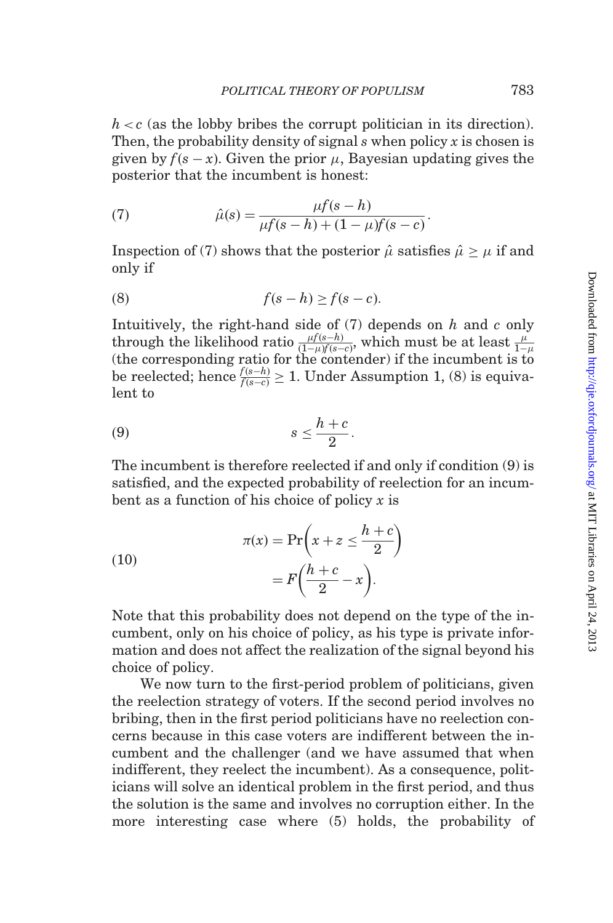$h < c$  (as the lobby bribes the corrupt politician in its direction). Then, the probability density of signal  $s$  when policy  $x$  is chosen is given by  $f(s-x)$ . Given the prior  $\mu$ , Bayesian updating gives the posterior that the incumbent is honest:

(7) 
$$
\hat{\mu}(s) = \frac{\mu f(s-h)}{\mu f(s-h) + (1-\mu)f(s-c)}.
$$

Inspection of (7) shows that the posterior  $\hat{\mu}$  satisfies  $\hat{\mu} > \mu$  if and only if

$$
(8) \t f(s-h) \ge f(s-c).
$$

Intuitively, the right-hand side of  $(7)$  depends on  $h$  and  $c$  only through the likelihood ratio  $\frac{\mu f(s-h)}{(1-\mu)f(s-c)}$ , which must be at least  $\frac{\mu}{1-\mu}$  (the corresponding ratio for the contender) if the incumbent is to be reelected; hence  $\frac{f(s-h)}{f(s-c)} \geq 1$ . Under Assumption 1, (8) is equivalent to

$$
(9) \t\t s \leq \frac{h+c}{2}.
$$

The incumbent is therefore reelected if and only if condition (9) is satisfied, and the expected probability of reelection for an incumbent as a function of his choice of policy  $x$  is

(10)  

$$
\pi(x) = \Pr\left(x + z \le \frac{h + c}{2}\right)
$$

$$
= F\left(\frac{h + c}{2} - x\right).
$$

Note that this probability does not depend on the type of the incumbent, only on his choice of policy, as his type is private information and does not affect the realization of the signal beyond his choice of policy.

We now turn to the first-period problem of politicians, given the reelection strategy of voters. If the second period involves no bribing, then in the first period politicians have no reelection concerns because in this case voters are indifferent between the incumbent and the challenger (and we have assumed that when indifferent, they reelect the incumbent). As a consequence, politicians will solve an identical problem in the first period, and thus the solution is the same and involves no corruption either. In the more interesting case where (5) holds, the probability of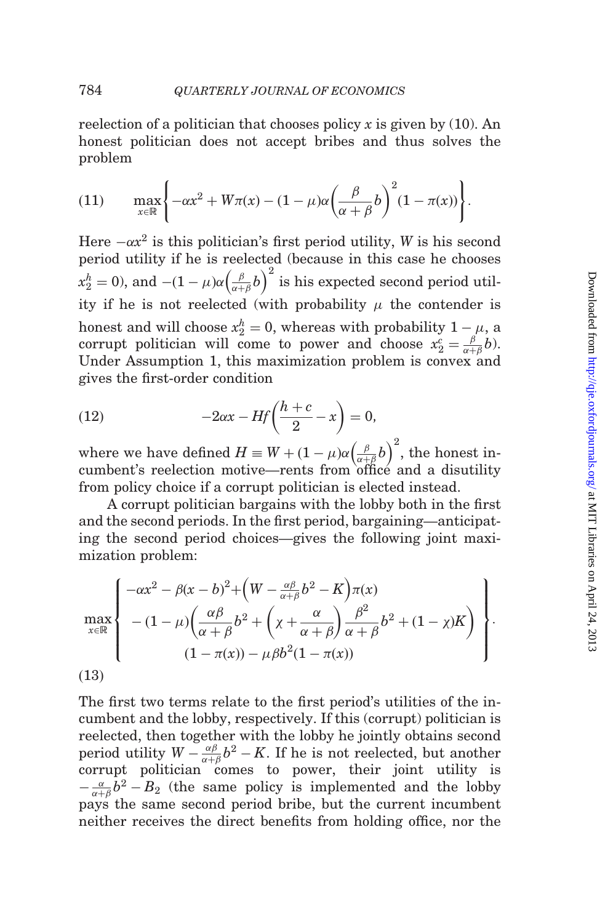reelection of a politician that chooses policy x is given by  $(10)$ . An honest politician does not accept bribes and thus solves the problem

(11) 
$$
\max_{x \in \mathbb{R}} \left\{-\alpha x^2 + W\pi(x) - (1-\mu)\alpha \left(\frac{\beta}{\alpha+\beta}b\right)^2 (1-\pi(x))\right\}.
$$

Here  $-\alpha x^2$  is this politician's first period utility, W is his second period utility if he is reelected (because in this case he chooses  $x_2^h=0$ ), and  $-(1-\mu)\alpha\left(\frac{\beta}{\alpha+\beta}b\right)$  $\left(\frac{\beta}{\alpha+\beta}b\right)^2$  is his expected second period utility if he is not reelected (with probability  $\mu$  the contender is honest and will choose  $x_2^h = 0$ , whereas with probability  $1 - \mu$ , a corrupt politician will come to power and choose  $x_2^c = \frac{\beta}{\alpha + \beta} b$ . Under Assumption 1, this maximization problem is convex and gives the first-order condition

(12) 
$$
-2\alpha x - Hf\left(\frac{h+c}{2} - x\right) = 0,
$$

where we have defined  $H \equiv W + (1-\mu)\alpha\left(\frac{\beta}{\alpha+\beta}b\right)$  $\left(\frac{\beta}{\alpha+\beta}b\right)^2$ , the honest incumbent's reelection motive—rents from office and a disutility from policy choice if a corrupt politician is elected instead.

A corrupt politician bargains with the lobby both in the first and the second periods. In the first period, bargaining—anticipating the second period choices—gives the following joint maximization problem:

$$
\max_{x \in \mathbb{R}} \left\{ \begin{array}{l} -\alpha x^2 - \beta(x-b)^2 + \left(W - \frac{\alpha\beta}{\alpha+\beta}b^2 - K\right)\pi(x) \\ - (1-\mu)\left(\frac{\alpha\beta}{\alpha+\beta}b^2 + \left(x + \frac{\alpha}{\alpha+\beta}\right)\frac{\beta^2}{\alpha+\beta}b^2 + (1-\chi)K\right) \\ (1-\pi(x)) - \mu\beta b^2(1-\pi(x)) \end{array} \right\}.
$$
\n(13)

The first two terms relate to the first period's utilities of the incumbent and the lobby, respectively. If this (corrupt) politician is reelected, then together with the lobby he jointly obtains second period utility  $W - \frac{\alpha \beta}{\alpha + \beta} b^2 - K$ . If he is not reelected, but another corrupt politician comes to power, their joint utility is  $-\frac{\alpha}{\alpha+\beta}b^2 - B_2$  (the same policy is implemented and the lobby pays the same second period bribe, but the current incumbent neither receives the direct benefits from holding office, nor the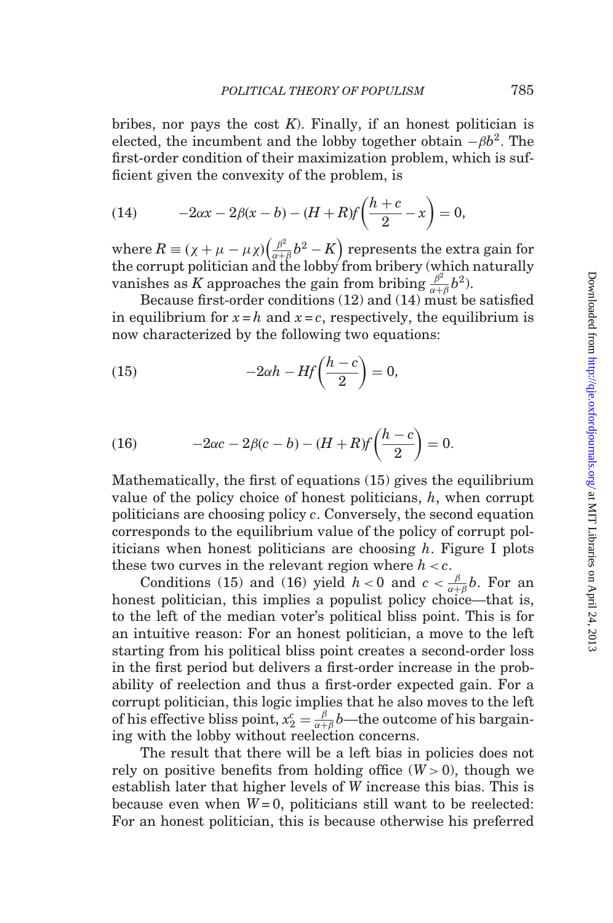bribes, nor pays the cost  $K$ ). Finally, if an honest politician is elected, the incumbent and the lobby together obtain  $-\beta b^2$ . The first-order condition of their maximization problem, which is sufficient given the convexity of the problem, is

(14) 
$$
-2\alpha x - 2\beta(x - b) - (H + R)f\left(\frac{h + c}{2} - x\right) = 0,
$$

where  $R = (\chi + \mu - \mu \chi) \left( \frac{\beta^2}{\alpha + \beta} b^2 - K \right)$  $\left(\frac{\beta^2}{\alpha+\beta}b^2-K\right)$  represents the extra gain for the corrupt politician and the lobby from bribery (which naturally vanishes as K approaches the gain from bribing  $\frac{\beta^2}{\alpha+\beta}b^2$ ).

Because first-order conditions (12) and (14) must be satisfied in equilibrium for  $x = h$  and  $x = c$ , respectively, the equilibrium is now characterized by the following two equations:

(15) 
$$
-2\alpha h - Hf\left(\frac{h-c}{2}\right) = 0,
$$

(16) 
$$
-2\alpha c - 2\beta(c - b) - (H + R)f\left(\frac{h - c}{2}\right) = 0.
$$

Mathematically, the first of equations (15) gives the equilibrium value of the policy choice of honest politicians,  $h$ , when corrupt politicians are choosing policy c. Conversely, the second equation corresponds to the equilibrium value of the policy of corrupt politicians when honest politicians are choosing  $h$ . [Figure I](#page-15-0) plots these two curves in the relevant region where  $h < c$ .

Conditions (15) and (16) yield  $h < 0$  and  $c < \frac{\beta}{\alpha + \beta}b$ . For an honest politician, this implies a populist policy choice—that is, to the left of the median voter's political bliss point. This is for an intuitive reason: For an honest politician, a move to the left starting from his political bliss point creates a second-order loss in the first period but delivers a first-order increase in the probability of reelection and thus a first-order expected gain. For a corrupt politician, this logic implies that he also moves to the left of his effective bliss point,  $x_2^c = \frac{\beta}{\alpha + \beta} b$ —the outcome of his bargaining with the lobby without reelection concerns.

The result that there will be a left bias in policies does not rely on positive benefits from holding office  $(W > 0)$ , though we establish later that higher levels of W increase this bias. This is because even when  $W = 0$ , politicians still want to be reelected: For an honest politician, this is because otherwise his preferred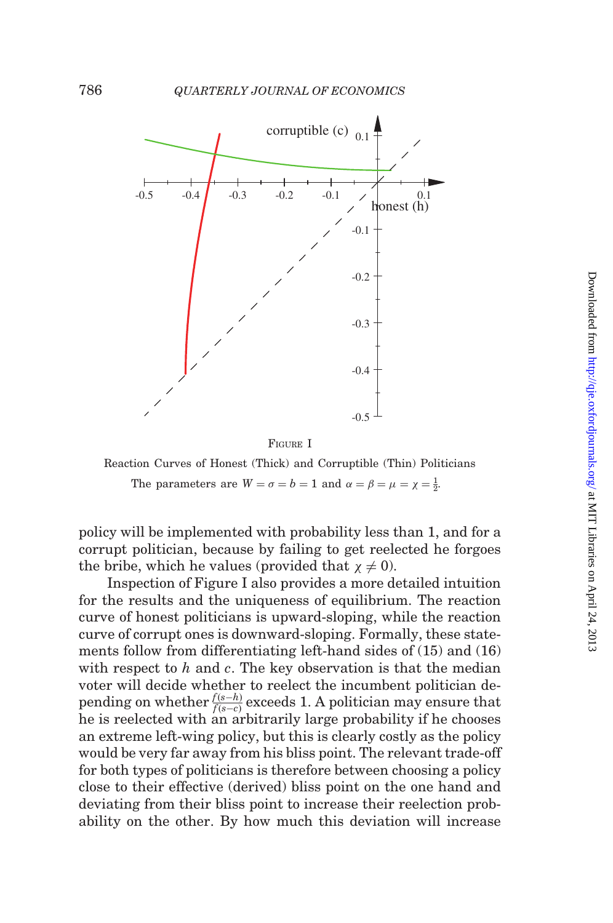<span id="page-15-0"></span>

Reaction Curves of Honest (Thick) and Corruptible (Thin) Politicians The parameters are  $W = \sigma = b = 1$  and  $\alpha = \beta = \mu = \chi = \frac{1}{2}$ .

policy will be implemented with probability less than 1, and for a corrupt politician, because by failing to get reelected he forgoes the bribe, which he values (provided that  $\chi \neq 0$ ).

Inspection of Figure I also provides a more detailed intuition for the results and the uniqueness of equilibrium. The reaction curve of honest politicians is upward-sloping, while the reaction curve of corrupt ones is downward-sloping. Formally, these statements follow from differentiating left-hand sides of (15) and (16) with respect to  $h$  and  $c$ . The key observation is that the median voter will decide whether to reelect the incumbent politician depending on whether  $\frac{f(s-h)}{f(s-c)}$  exceeds 1. A politician may ensure that he is reelected with an arbitrarily large probability if he chooses an extreme left-wing policy, but this is clearly costly as the policy would be very far away from his bliss point. The relevant trade-off for both types of politicians is therefore between choosing a policy close to their effective (derived) bliss point on the one hand and deviating from their bliss point to increase their reelection probability on the other. By how much this deviation will increase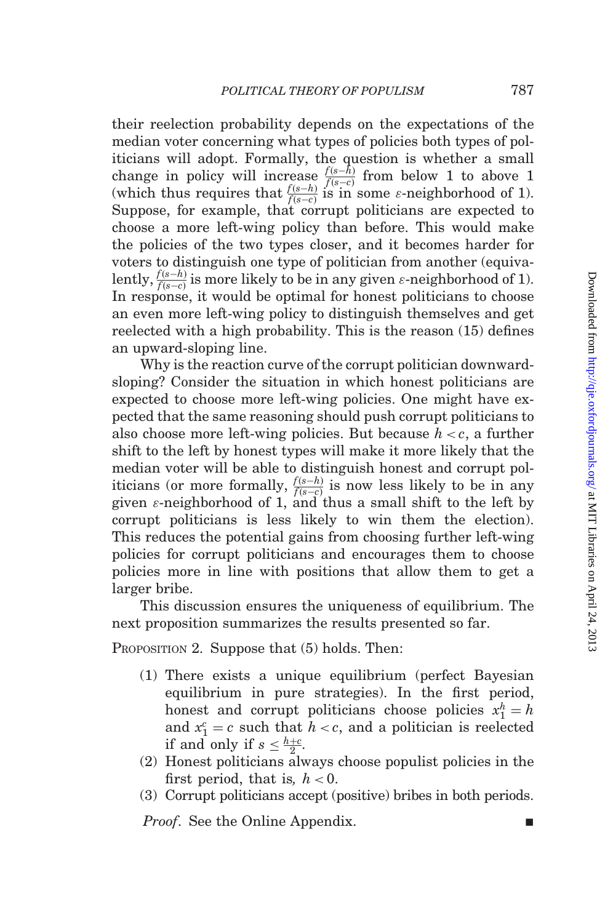their reelection probability depends on the expectations of the median voter concerning what types of policies both types of politicians will adopt. Formally, the question is whether a small change in policy will increase  $\frac{f(s-h)}{f(s-c)}$  from below 1 to above 1 (which thus requires that  $f(s-h)$  is in some consideration of 1) (which thus requires that  $\frac{f(s-h)}{f(s-c)}$  is in some  $\varepsilon$ -neighborhood of 1). Suppose, for example, that corrupt politicians are expected to choose a more left-wing policy than before. This would make the policies of the two types closer, and it becomes harder for voters to distinguish one type of politician from another (equivalently,  $\frac{f(s-h)}{f(s-c)}$  is more likely to be in any given  $\varepsilon$ -neighborhood of 1). In response, it would be optimal for honest politicians to choose an even more left-wing policy to distinguish themselves and get reelected with a high probability. This is the reason (15) defines an upward-sloping line.

Why is the reaction curve of the corrupt politician downwardsloping? Consider the situation in which honest politicians are expected to choose more left-wing policies. One might have expected that the same reasoning should push corrupt politicians to also choose more left-wing policies. But because  $h < c$ , a further shift to the left by honest types will make it more likely that the median voter will be able to distinguish honest and corrupt politicians (or more formally,  $\frac{f(s-h)}{f(s-c)}$  is now less likely to be in any given  $\varepsilon$ -neighborhood of 1, and thus a small shift to the left by corrupt politicians is less likely to win them the election). This reduces the potential gains from choosing further left-wing policies for corrupt politicians and encourages them to choose policies more in line with positions that allow them to get a larger bribe.

This discussion ensures the uniqueness of equilibrium. The next proposition summarizes the results presented so far.

PROPOSITION 2. Suppose that  $(5)$  holds. Then:

- (1) There exists a unique equilibrium (perfect Bayesian equilibrium in pure strategies). In the first period, honest and corrupt politicians choose policies  $x_1^h = h$ and  $x_1^c = c$  such that  $h < c$ , and a politician is reelected if and only if  $s \leq \frac{h+c}{2}$ .
- (2) Honest politicians always choose populist policies in the first period, that is,  $h < 0$ .
- (3) Corrupt politicians accept (positive) bribes in both periods.

*Proof.* See the [Online Appendix.](http://hwmaint.qje.oxfordjournals.org/lookup/suppl/doi:10.1093/qje/qjs077/-/DC1)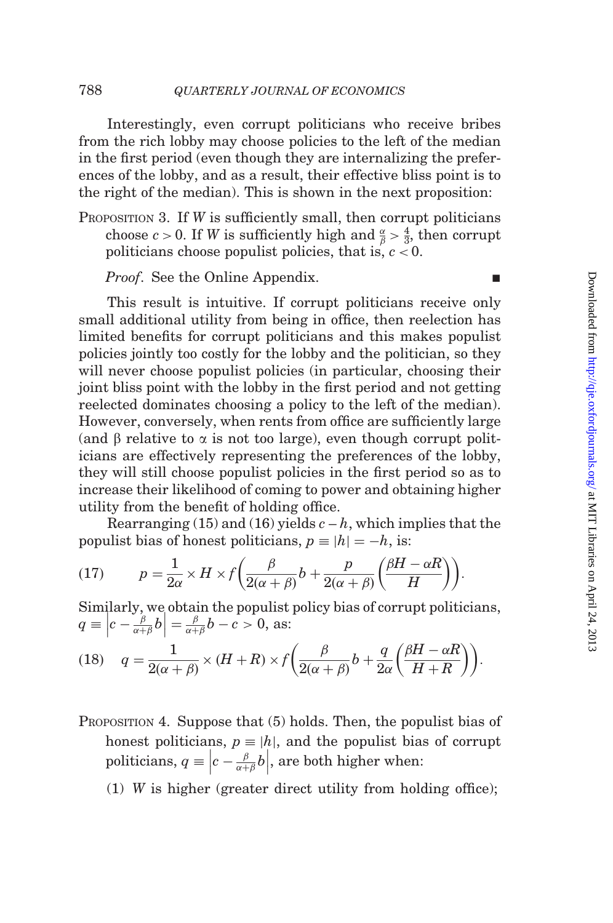Interestingly, even corrupt politicians who receive bribes from the rich lobby may choose policies to the left of the median in the first period (even though they are internalizing the preferences of the lobby, and as a result, their effective bliss point is to the right of the median). This is shown in the next proposition:

PROPOSITION 3. If W is sufficiently small, then corrupt politicians choose  $c > 0$ . If W is sufficiently high and  $\frac{\alpha}{\beta} > \frac{4}{3}$ , then corrupt politicians choose populist policies, that is,  $c < 0$ .

Proof. See the [Online Appendix.](http://hwmaint.qje.oxfordjournals.org/lookup/suppl/doi:10.1093/qje/qjs077/-/DC1)

This result is intuitive. If corrupt politicians receive only small additional utility from being in office, then reelection has limited benefits for corrupt politicians and this makes populist policies jointly too costly for the lobby and the politician, so they will never choose populist policies (in particular, choosing their joint bliss point with the lobby in the first period and not getting reelected dominates choosing a policy to the left of the median). However, conversely, when rents from office are sufficiently large (and  $\beta$  relative to  $\alpha$  is not too large), even though corrupt politicians are effectively representing the preferences of the lobby, they will still choose populist policies in the first period so as to increase their likelihood of coming to power and obtaining higher utility from the benefit of holding office.

Rearranging (15) and (16) yields  $c-h$ , which implies that the populist bias of honest politicians,  $p \equiv |h| = -h$ , is:

(17) 
$$
p = \frac{1}{2\alpha} \times H \times f\left(\frac{\beta}{2(\alpha+\beta)}b + \frac{p}{2(\alpha+\beta)}\left(\frac{\beta H - \alpha R}{H}\right)\right).
$$

 $\text{Similarly, we obtain the populist policy bias of corrupt politicians,}$  $q \equiv \left| c - \frac{\beta}{\alpha + \beta} b \right| = \frac{\beta}{\alpha + \beta} b - c > 0$ , as:

(18) 
$$
q = \frac{1}{2(\alpha + \beta)} \times (H + R) \times f\left(\frac{\beta}{2(\alpha + \beta)}b + \frac{q}{2\alpha}\left(\frac{\beta H - \alpha R}{H + R}\right)\right).
$$

PROPOSITION 4. Suppose that (5) holds. Then, the populist bias of honest politicians,  $p \equiv |h|$ , and the populist bias of corrupt politicians,  $q \equiv \left| c - \frac{\beta}{\alpha + \beta} b \right|$  $\overline{\phantom{a}}$  $\mu$ <sub>l</sub>, and the populational<br> $\mu$ , are both higher when:

(1) W is higher (greater direct utility from holding office);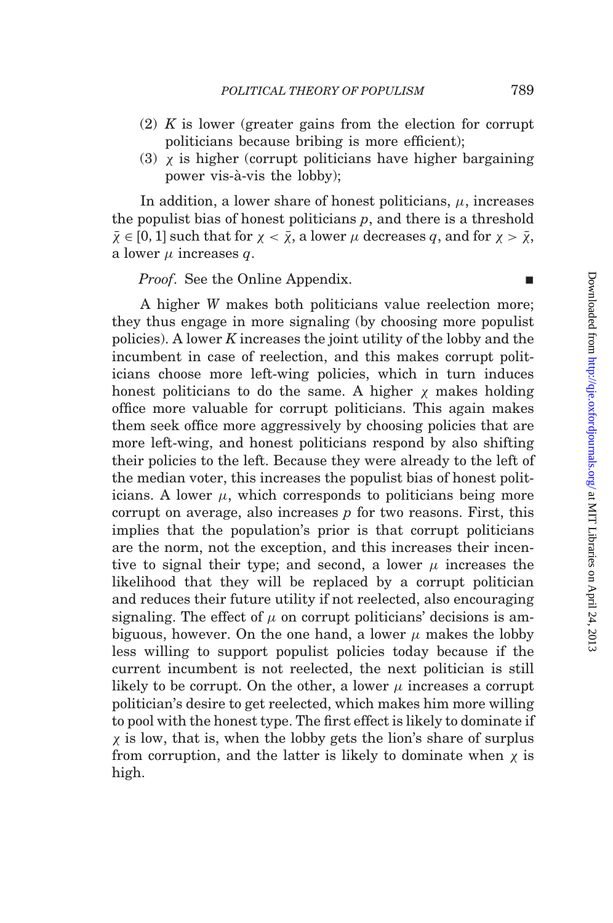- $(2)$  K is lower (greater gains from the election for corrupt politicians because bribing is more efficient);
- (3)  $\chi$  is higher (corrupt politicians have higher bargaining power vis-à-vis the lobby);

In addition, a lower share of honest politicians,  $\mu$ , increases the populist bias of honest politicians  $p$ , and there is a threshold  $\bar{\chi} \in [0,1]$  such that for  $\chi < \bar{\chi}$ , a lower  $\mu$  decreases  $q$ , and for  $\chi > \bar{\chi}$ , a lower  $\mu$  increases q.

Proof. See the [Online Appendix.](http://hwmaint.qje.oxfordjournals.org/lookup/suppl/doi:10.1093/qje/qjs077/-/DC1)

A higher W makes both politicians value reelection more; they thus engage in more signaling (by choosing more populist policies). A lower K increases the joint utility of the lobby and the incumbent in case of reelection, and this makes corrupt politicians choose more left-wing policies, which in turn induces honest politicians to do the same. A higher  $\chi$  makes holding office more valuable for corrupt politicians. This again makes them seek office more aggressively by choosing policies that are more left-wing, and honest politicians respond by also shifting their policies to the left. Because they were already to the left of the median voter, this increases the populist bias of honest politicians. A lower  $\mu$ , which corresponds to politicians being more corrupt on average, also increases  $p$  for two reasons. First, this implies that the population's prior is that corrupt politicians are the norm, not the exception, and this increases their incentive to signal their type; and second, a lower  $\mu$  increases the likelihood that they will be replaced by a corrupt politician and reduces their future utility if not reelected, also encouraging signaling. The effect of  $\mu$  on corrupt politicians' decisions is ambiguous, however. On the one hand, a lower  $\mu$  makes the lobby less willing to support populist policies today because if the current incumbent is not reelected, the next politician is still likely to be corrupt. On the other, a lower  $\mu$  increases a corrupt politician's desire to get reelected, which makes him more willing to pool with the honest type. The first effect is likely to dominate if  $\chi$  is low, that is, when the lobby gets the lion's share of surplus from corruption, and the latter is likely to dominate when  $\chi$  is high.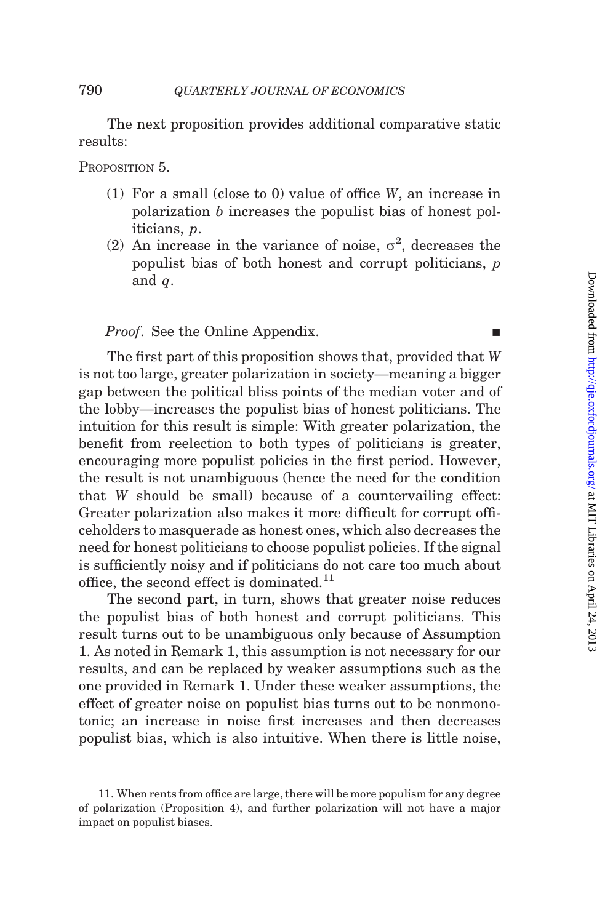The next proposition provides additional comparative static results:

PROPOSITION 5.

- (1) For a small (close to 0) value of office W, an increase in polarization b increases the populist bias of honest politicians, p.
- (2) An increase in the variance of noise,  $\sigma^2$ , decreases the populist bias of both honest and corrupt politicians, p and  $q$ .

Proof. See the [Online Appendix.](http://hwmaint.qje.oxfordjournals.org/lookup/suppl/doi:10.1093/qje/qjs077/-/DC1)

The first part of this proposition shows that, provided that W is not too large, greater polarization in society—meaning a bigger gap between the political bliss points of the median voter and of the lobby—increases the populist bias of honest politicians. The intuition for this result is simple: With greater polarization, the benefit from reelection to both types of politicians is greater, encouraging more populist policies in the first period. However, the result is not unambiguous (hence the need for the condition that W should be small) because of a countervailing effect: Greater polarization also makes it more difficult for corrupt officeholders to masquerade as honest ones, which also decreases the need for honest politicians to choose populist policies. If the signal is sufficiently noisy and if politicians do not care too much about office, the second effect is dominated.<sup>11</sup>

The second part, in turn, shows that greater noise reduces the populist bias of both honest and corrupt politicians. This result turns out to be unambiguous only because of Assumption 1. As noted in Remark 1, this assumption is not necessary for our results, and can be replaced by weaker assumptions such as the one provided in Remark 1. Under these weaker assumptions, the effect of greater noise on populist bias turns out to be nonmonotonic; an increase in noise first increases and then decreases populist bias, which is also intuitive. When there is little noise,

<sup>11.</sup> When rents from office are large, there will be more populism for any degree of polarization (Proposition 4), and further polarization will not have a major impact on populist biases.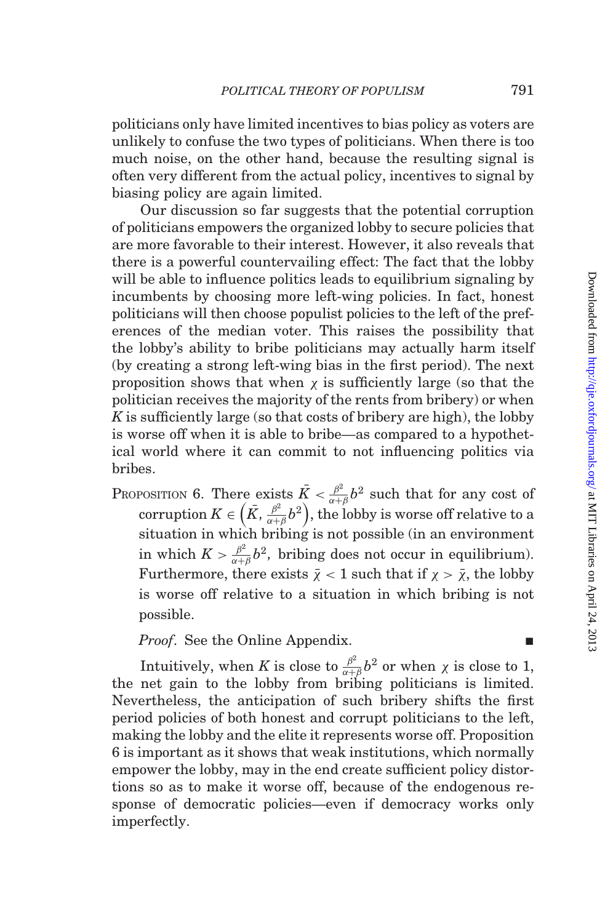politicians only have limited incentives to bias policy as voters are unlikely to confuse the two types of politicians. When there is too much noise, on the other hand, because the resulting signal is often very different from the actual policy, incentives to signal by biasing policy are again limited.

Our discussion so far suggests that the potential corruption of politicians empowers the organized lobby to secure policies that are more favorable to their interest. However, it also reveals that there is a powerful countervailing effect: The fact that the lobby will be able to influence politics leads to equilibrium signaling by incumbents by choosing more left-wing policies. In fact, honest politicians will then choose populist policies to the left of the preferences of the median voter. This raises the possibility that the lobby's ability to bribe politicians may actually harm itself (by creating a strong left-wing bias in the first period). The next proposition shows that when  $\chi$  is sufficiently large (so that the politician receives the majority of the rents from bribery) or when K is sufficiently large (so that costs of bribery are high), the lobby is worse off when it is able to bribe—as compared to a hypothetical world where it can commit to not influencing politics via bribes.

PROPOSITION 6. There exists  $\bar{K} < \frac{\beta^2}{\alpha+\beta}b^2$  such that for any cost of corruption  $K \in \left(\overline{K}, \frac{\beta^2}{\alpha+\beta}b^2\right)$ , the lobby is worse off relative to a situation in which bribing is not possible (in an environment in which  $K > \frac{\beta^2}{\alpha + \beta} b^2$ , bribing does not occur in equilibrium). Furthermore, there exists  $\bar \chi < 1$  such that if  $\chi > \bar \chi,$  the lobby is worse off relative to a situation in which bribing is not possible.

*Proof.* See the [Online Appendix.](http://hwmaint.qje.oxfordjournals.org/lookup/suppl/doi:10.1093/qje/qjs077/-/DC1) ■

Intuitively, when K is close to  $\frac{\beta^2}{\alpha+\beta}b^2$  or when  $\chi$  is close to 1, the net gain to the lobby from bribing politicians is limited. Nevertheless, the anticipation of such bribery shifts the first period policies of both honest and corrupt politicians to the left, making the lobby and the elite it represents worse off. Proposition 6 is important as it shows that weak institutions, which normally empower the lobby, may in the end create sufficient policy distortions so as to make it worse off, because of the endogenous response of democratic policies—even if democracy works only imperfectly.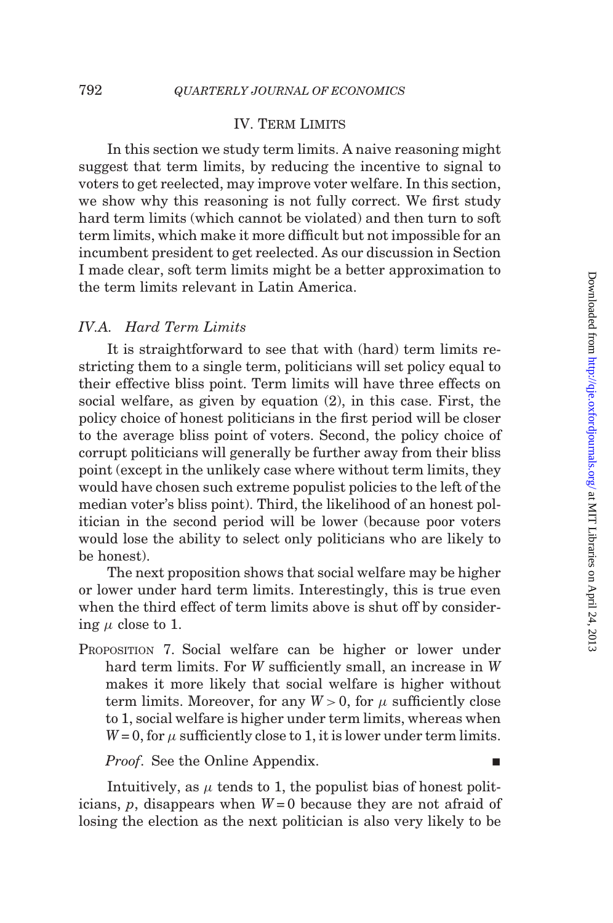## IV. Term Limits

In this section we study term limits. A naive reasoning might suggest that term limits, by reducing the incentive to signal to voters to get reelected, may improve voter welfare. In this section, we show why this reasoning is not fully correct. We first study hard term limits (which cannot be violated) and then turn to soft term limits, which make it more difficult but not impossible for an incumbent president to get reelected. As our discussion in Section I made clear, soft term limits might be a better approximation to the term limits relevant in Latin America.

# IV.A. Hard Term Limits

It is straightforward to see that with (hard) term limits restricting them to a single term, politicians will set policy equal to their effective bliss point. Term limits will have three effects on social welfare, as given by [equation \(2\)](#page-7-0), in this case. First, the policy choice of honest politicians in the first period will be closer to the average bliss point of voters. Second, the policy choice of corrupt politicians will generally be further away from their bliss point (except in the unlikely case where without term limits, they would have chosen such extreme populist policies to the left of the median voter's bliss point). Third, the likelihood of an honest politician in the second period will be lower (because poor voters would lose the ability to select only politicians who are likely to be honest).

The next proposition shows that social welfare may be higher or lower under hard term limits. Interestingly, this is true even when the third effect of term limits above is shut off by considering  $\mu$  close to 1.

PROPOSITION 7. Social welfare can be higher or lower under hard term limits. For W sufficiently small, an increase in W makes it more likely that social welfare is higher without term limits. Moreover, for any  $W > 0$ , for  $\mu$  sufficiently close to 1, social welfare is higher under term limits, whereas when  $W = 0$ , for  $\mu$  sufficiently close to 1, it is lower under term limits.

Proof. See the [Online Appendix.](http://hwmaint.qje.oxfordjournals.org/lookup/suppl/doi:10.1093/qje/qjs077/-/DC1)

Intuitively, as  $\mu$  tends to 1, the populist bias of honest politicians, p, disappears when  $W = 0$  because they are not afraid of losing the election as the next politician is also very likely to be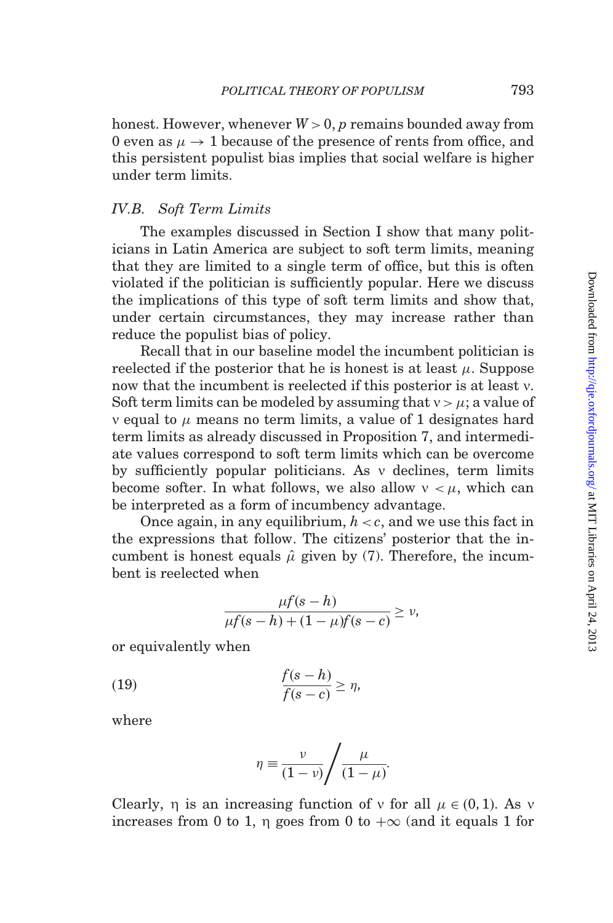honest. However, whenever  $W > 0$ , p remains bounded away from 0 even as  $\mu \rightarrow 1$  because of the presence of rents from office, and this persistent populist bias implies that social welfare is higher under term limits.

## IV.B. Soft Term Limits

The examples discussed in Section I show that many politicians in Latin America are subject to soft term limits, meaning that they are limited to a single term of office, but this is often violated if the politician is sufficiently popular. Here we discuss the implications of this type of soft term limits and show that, under certain circumstances, they may increase rather than reduce the populist bias of policy.

Recall that in our baseline model the incumbent politician is reelected if the posterior that he is honest is at least  $\mu$ . Suppose now that the incumbent is reelected if this posterior is at least  $v$ . Soft term limits can be modeled by assuming that  $v > \mu$ ; a value of v equal to  $\mu$  means no term limits, a value of 1 designates hard term limits as already discussed in Proposition 7, and intermediate values correspond to soft term limits which can be overcome by sufficiently popular politicians. As  $\nu$  declines, term limits become softer. In what follows, we also allow  $v < \mu$ , which can be interpreted as a form of incumbency advantage.

Once again, in any equilibrium,  $h < c$ , and we use this fact in the expressions that follow. The citizens' posterior that the incumbent is honest equals  $\hat{\mu}$  given by (7). Therefore, the incumbent is reelected when

$$
\frac{\mu f(s-h)}{\mu f(s-h)+(1-\mu)f(s-c)}\geq \nu,
$$

or equivalently when

$$
\frac{f(s-h)}{f(s-c)} \ge \eta,
$$

where

$$
\eta \equiv \frac{\nu}{(1-\nu)} / \frac{\mu}{(1-\mu)}.
$$

Clearly,  $\eta$  is an increasing function of v for all  $\mu \in (0, 1)$ . As v increases from 0 to 1,  $\eta$  goes from 0 to  $+\infty$  (and it equals 1 for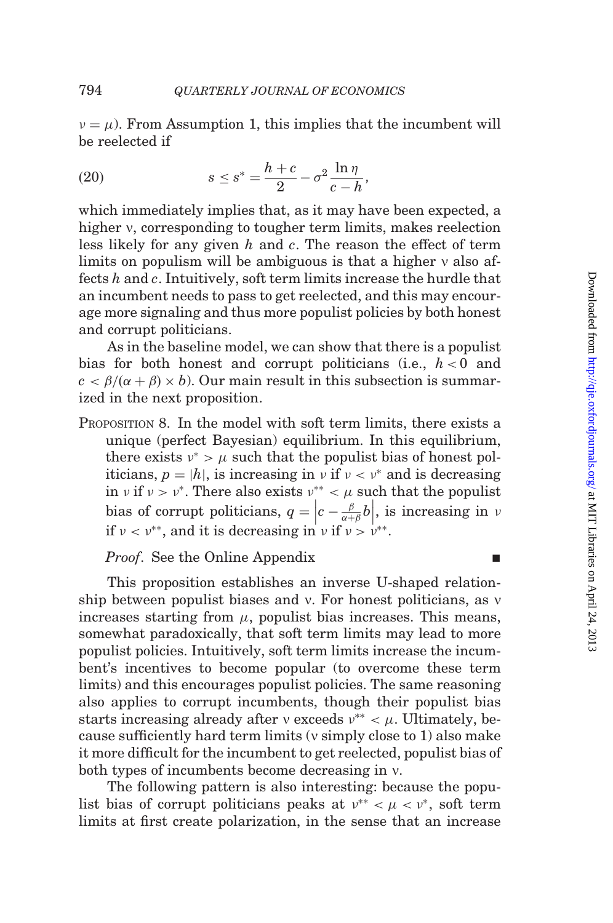$\nu = \mu$ ). From Assumption 1, this implies that the incumbent will be reelected if

(20) 
$$
s \leq s^* = \frac{h+c}{2} - \sigma^2 \frac{\ln \eta}{c - h},
$$

which immediately implies that, as it may have been expected, a higher v, corresponding to tougher term limits, makes reelection less likely for any given  $h$  and  $c$ . The reason the effect of term limits on populism will be ambiguous is that a higher  $\nu$  also affects h and c. Intuitively, soft term limits increase the hurdle that an incumbent needs to pass to get reelected, and this may encourage more signaling and thus more populist policies by both honest and corrupt politicians.

As in the baseline model, we can show that there is a populist bias for both honest and corrupt politicians (i.e.,  $h < 0$  and  $c < \beta/(\alpha + \beta) \times b$ ). Our main result in this subsection is summarized in the next proposition.

PROPOSITION 8. In the model with soft term limits, there exists a unique (perfect Bayesian) equilibrium. In this equilibrium, there exists  $v^* > \mu$  such that the populist bias of honest politicians,  $p = |h|$ , is increasing in  $\nu$  if  $\nu < \nu^*$  and is decreasing in  $\nu$  if  $\nu > \nu^*$ . There also exists  $\nu^{**} < \mu$  such that the populist bias of corrupt politicians,  $q = \left| c - \frac{\beta}{\alpha + \beta} b \right|$ , is increasing in  $\nu$ if  $\nu < \nu^{**}$ , and it is decreasing in  $\nu$  if  $\nu > \nu^{**}$ .

Proof. See the [Online Appendix](http://hwmaint.qje.oxfordjournals.org/lookup/suppl/doi:10.1093/qje/qjs077/-/DC1)

This proposition establishes an inverse U-shaped relationship between populist biases and  $v$ . For honest politicians, as  $v$ increases starting from  $\mu$ , populist bias increases. This means, somewhat paradoxically, that soft term limits may lead to more populist policies. Intuitively, soft term limits increase the incumbent's incentives to become popular (to overcome these term limits) and this encourages populist policies. The same reasoning also applies to corrupt incumbents, though their populist bias starts increasing already after v exceeds  $v^{**} < \mu$ . Ultimately, because sufficiently hard term limits  $(v \text{ simply close to } 1)$  also make it more difficult for the incumbent to get reelected, populist bias of both types of incumbents become decreasing in  $\nu$ .

The following pattern is also interesting: because the populist bias of corrupt politicians peaks at  $v^{**} < \mu < v^*$ , soft term limits at first create polarization, in the sense that an increase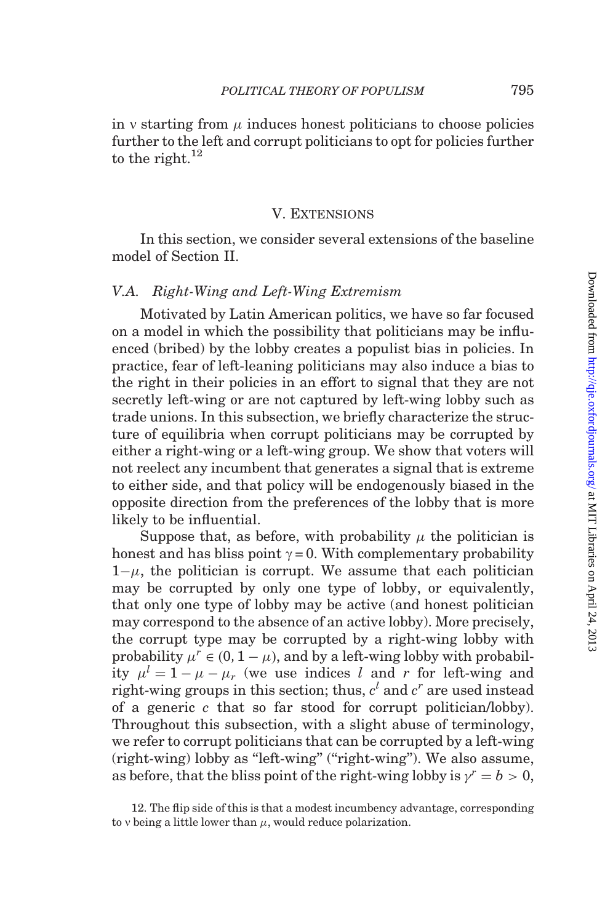in v starting from  $\mu$  induces honest politicians to choose policies further to the left and corrupt politicians to opt for policies further to the right. $^{12}$ 

#### **V. EXTENSIONS**

In this section, we consider several extensions of the baseline model of Section II.

## V.A. Right-Wing and Left-Wing Extremism

Motivated by Latin American politics, we have so far focused on a model in which the possibility that politicians may be influenced (bribed) by the lobby creates a populist bias in policies. In practice, fear of left-leaning politicians may also induce a bias to the right in their policies in an effort to signal that they are not secretly left-wing or are not captured by left-wing lobby such as trade unions. In this subsection, we briefly characterize the structure of equilibria when corrupt politicians may be corrupted by either a right-wing or a left-wing group. We show that voters will not reelect any incumbent that generates a signal that is extreme to either side, and that policy will be endogenously biased in the opposite direction from the preferences of the lobby that is more likely to be influential.

Suppose that, as before, with probability  $\mu$  the politician is honest and has bliss point  $\gamma = 0$ . With complementary probability  $1-\mu$ , the politician is corrupt. We assume that each politician may be corrupted by only one type of lobby, or equivalently, that only one type of lobby may be active (and honest politician may correspond to the absence of an active lobby). More precisely, the corrupt type may be corrupted by a right-wing lobby with probability  $\mu^r \in (0, 1 - \mu)$ , and by a left-wing lobby with probability  $\mu^l = 1 - \mu - \mu_r$  (we use indices l and r for left-wing and right-wing groups in this section; thus,  $c<sup>t</sup>$  and  $c<sup>r</sup>$  are used instead of a generic c that so far stood for corrupt politician/lobby). Throughout this subsection, with a slight abuse of terminology, we refer to corrupt politicians that can be corrupted by a left-wing (right-wing) lobby as ''left-wing'' (''right-wing''). We also assume, as before, that the bliss point of the right-wing lobby is  $\gamma^r = b > 0$ ,

<sup>12.</sup> The flip side of this is that a modest incumbency advantage, corresponding to v being a little lower than  $\mu$ , would reduce polarization.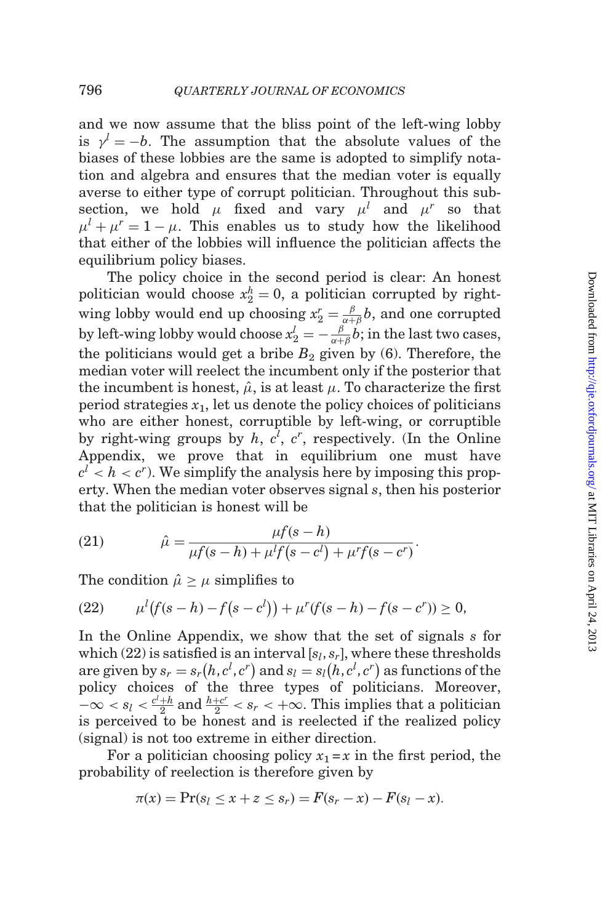and we now assume that the bliss point of the left-wing lobby is  $\gamma^l = -b$ . The assumption that the absolute values of the biases of these lobbies are the same is adopted to simplify notation and algebra and ensures that the median voter is equally averse to either type of corrupt politician. Throughout this subsection, we hold  $\mu$  fixed and vary  $\mu^l$  and  $\mu^r$  so that  $\mu^l + \mu^r = 1 - \mu$ . This enables us to study how the likelihood that either of the lobbies will influence the politician affects the equilibrium policy biases.

The policy choice in the second period is clear: An honest politician would choose  $x_2^h = 0$ , a politician corrupted by rightwing lobby would end up choosing  $x_2^r = \frac{\beta}{\alpha + \beta} b$ , and one corrupted by left-wing lobby would choose  $x_2^l = -\frac{\beta}{\alpha+\beta}b$ ; in the last two cases, the politicians would get a bribe  $B_2$  given by (6). Therefore, the median voter will reelect the incumbent only if the posterior that the incumbent is honest,  $\hat{\mu}$ , is at least  $\mu$ . To characterize the first period strategies  $x_1$ , let us denote the policy choices of politicians who are either honest, corruptible by left-wing, or corruptible by right-wing groups by h,  $c^l$ ,  $c^r$ , respectively. (In the [Online](http://hwmaint.qje.oxfordjournals.org/lookup/suppl/doi:10.1093/qje/qjs077/-/DC1) [Appendix](http://hwmaint.qje.oxfordjournals.org/lookup/suppl/doi:10.1093/qje/qjs077/-/DC1), we prove that in equilibrium one must have  $c^{l} < h < c^{r}$ ). We simplify the analysis here by imposing this property. When the median voter observes signal s, then his posterior that the politician is honest will be

(21) 
$$
\hat{\mu} = \frac{\mu f(s-h)}{\mu f(s-h) + \mu^l f(s-c^l) + \mu^r f(s-c^r)}.
$$

The condition  $\hat{\mu} \geq \mu$  simplifies to

(22) 
$$
\mu^{l}(f(s-h)-f(s-c^{l})) + \mu^{r}(f(s-h)-f(s-c^{r})) \geq 0,
$$

In the [Online Appendix,](http://hwmaint.qje.oxfordjournals.org/lookup/suppl/doi:10.1093/qje/qjs077/-/DC1) we show that the set of signals s for which (22) is satisfied is an interval  $[s_l, s_r]$ , where these thresholds are given by  $s_r = s_r(h, c^l, c^r)$  and  $s_l = s_l(h, c^l, c^r)$  as functions of the policy choices of the three types of politicians. Moreover,  $-\infty < s_l < \frac{c^l + h}{2}$  and  $\frac{h + c^r}{2} < s_r < +\infty$ . This implies that a politician is perceived to be honest and is reelected if the realized policy (signal) is not too extreme in either direction.

For a politician choosing policy  $x_1 = x$  in the first period, the probability of reelection is therefore given by

$$
\pi(x) = \Pr(s_l \le x + z \le s_r) = F(s_r - x) - F(s_l - x).
$$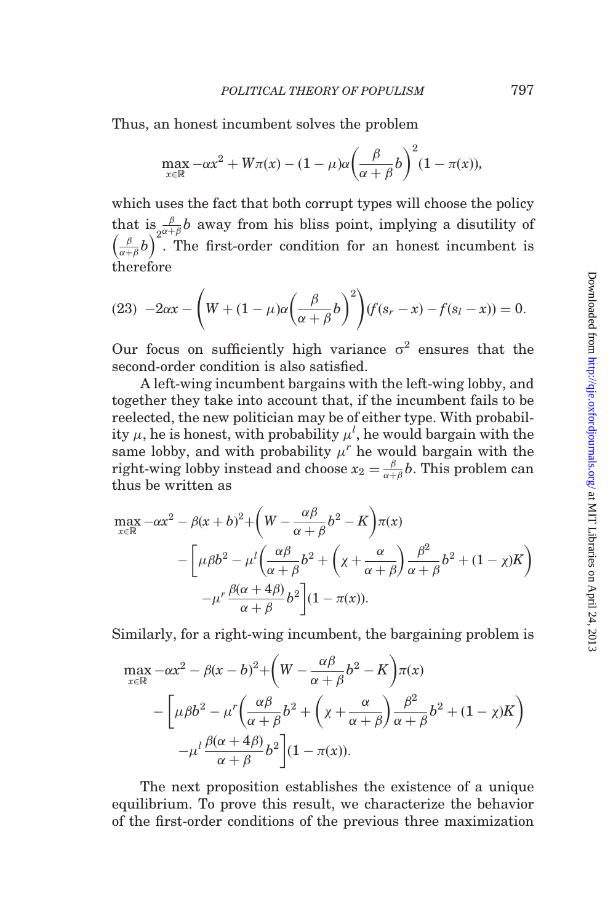Thus, an honest incumbent solves the problem

$$
\max_{x \in \mathbb{R}} -\alpha x^2 + W\pi(x) - (1 - \mu)\alpha \left(\frac{\beta}{\alpha + \beta}b\right)^2 (1 - \pi(x)),
$$

which uses the fact that both corrupt types will choose the policy that is  $\frac{\beta}{\alpha+\beta}b$  away from his bliss point, implying a disutility of  $\left(\frac{\beta}{\alpha+\beta}b\right)^2$ . The first-order condition for an honest incumbent is  $\left(\frac{\beta}{\alpha+\beta}b\right)^{2\alpha+\beta}$ . The first-order condition for an honest incumbent is therefore

(23) 
$$
-2\alpha x - \left(W + (1 - \mu)\alpha \left(\frac{\beta}{\alpha + \beta}b\right)^2\right) (f(s_r - x) - f(s_l - x)) = 0.
$$

Our focus on sufficiently high variance  $\sigma^2$  ensures that the second-order condition is also satisfied.

A left-wing incumbent bargains with the left-wing lobby, and together they take into account that, if the incumbent fails to be reelected, the new politician may be of either type. With probability  $\mu$ , he is honest, with probability  $\mu^l$ , he would bargain with the same lobby, and with probability  $\mu^r$  he would bargain with the right-wing lobby instead and choose  $x_2 = \frac{\beta}{\alpha + \beta} b$ . This problem can thus be written as

$$
\max_{x \in \mathbb{R}} -\alpha x^2 - \beta (x+b)^2 + \left(W - \frac{\alpha \beta}{\alpha + \beta} b^2 - K\right) \pi(x)
$$

$$
- \left[\mu \beta b^2 - \mu^l \left(\frac{\alpha \beta}{\alpha + \beta} b^2 + \left(x + \frac{\alpha}{\alpha + \beta}\right) \frac{\beta^2}{\alpha + \beta} b^2 + (1 - \chi) K\right) - \mu^r \frac{\beta(\alpha + 4\beta)}{\alpha + \beta} b^2\right](1 - \pi(x)).
$$

Similarly, for a right-wing incumbent, the bargaining problem is

$$
\max_{x \in \mathbb{R}} -\alpha x^2 - \beta (x - b)^2 + \left( W - \frac{\alpha \beta}{\alpha + \beta} b^2 - K \right) \pi(x)
$$

$$
- \left[ \mu \beta b^2 - \mu^r \left( \frac{\alpha \beta}{\alpha + \beta} b^2 + \left( x + \frac{\alpha}{\alpha + \beta} \right) \frac{\beta^2}{\alpha + \beta} b^2 + (1 - \chi) K \right) - \mu^l \frac{\beta(\alpha + 4\beta)}{\alpha + \beta} b^2 \right] (1 - \pi(x)).
$$

The next proposition establishes the existence of a unique equilibrium. To prove this result, we characterize the behavior of the first-order conditions of the previous three maximization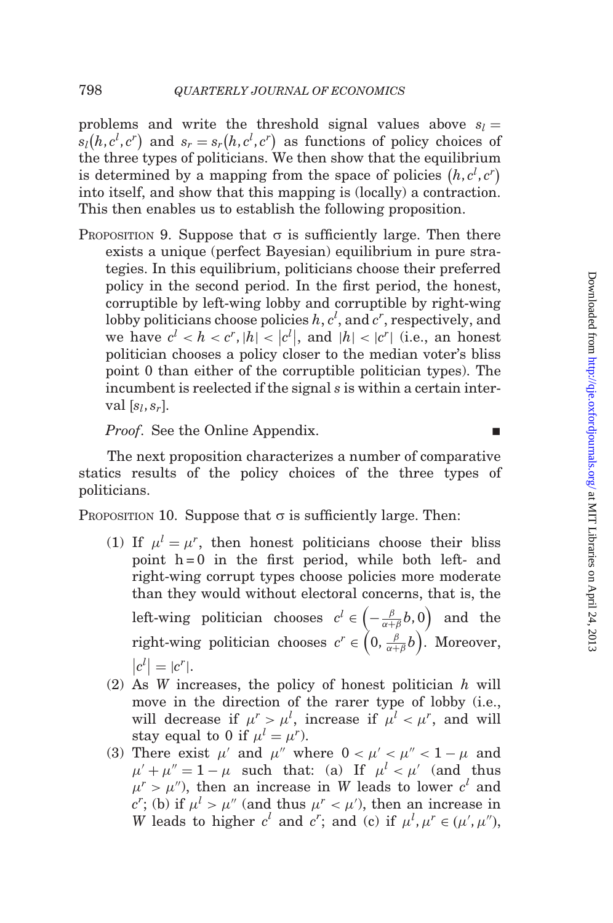problems and write the threshold signal values above  $s_l =$  $s_l(h, c^l, c^r)$  and  $s_r = s_r(h, c^l, c^r)$  as functions of policy choices of the three types of politicians. We then show that the equilibrium is determined by a mapping from the space of policies  $(h, c^l, c^r)$ into itself, and show that this mapping is (locally) a contraction. This then enables us to establish the following proposition.

PROPOSITION 9. Suppose that  $\sigma$  is sufficiently large. Then there exists a unique (perfect Bayesian) equilibrium in pure strategies. In this equilibrium, politicians choose their preferred policy in the second period. In the first period, the honest, corruptible by left-wing lobby and corruptible by right-wing lobby politicians choose policies  $h, c^l,$  and  $c^r$ , respectively, and we have  $c^l < h < c^r$ ,  $|h| < |c^l|$ , and  $|h| < |c^r|$  (i.e., an honest politician chooses a policy closer to the median voter's bliss point 0 than either of the corruptible politician types). The incumbent is reelected if the signal s is within a certain interval  $[s_l, s_r]$ .

Proof. See the [Online Appendix.](http://hwmaint.qje.oxfordjournals.org/lookup/suppl/doi:10.1093/qje/qjs077/-/DC1)

The next proposition characterizes a number of comparative statics results of the policy choices of the three types of politicians.

PROPOSITION 10. Suppose that  $\sigma$  is sufficiently large. Then:

- (1) If  $\mu^l = \mu^r$ , then honest politicians choose their bliss point  $h = 0$  in the first period, while both left- and right-wing corrupt types choose policies more moderate than they would without electoral concerns, that is, the  $\text{left-wing}\text{ \ \ } \text{politician \ \ \ chooses}\text{ } c^l\in \left(-\frac{\beta}{\alpha+\beta}b,0\right)$  $\left(-\frac{\beta}{\alpha+\beta}b,0\right)$  and the right-wing politician chooses  $c^r \in \left(0, \frac{\beta}{\alpha+\beta}b\right)$ . Moreover,  $\left\{\begin{array}{cc} \alpha+p & \lambda\\ 0 & \lambda \end{array}\right\}$  $|c^l| = |c^r|.$
- $(2)$  As W increases, the policy of honest politician h will move in the direction of the rarer type of lobby (i.e., will decrease if  $\mu^r > \mu^l$ , increase if  $\mu^l < \mu^r$ , and will stay equal to 0 if  $\mu^l = \mu^r$ ).
- (3) There exist  $\mu'$  and  $\mu''$  where  $0 < \mu' < \mu'' < 1 \mu$  and  $\mu' + \mu'' = 1 - \mu$  such that: (a) If  $\mu^l < \mu'$  (and thus  $\mu^r > \mu''$ , then an increase in W leads to lower  $c^l$  and  $c^r$ ; (b) if  $\mu^l > \mu''$  (and thus  $\mu^r < \mu'$ ), then an increase in W leads to higher  $c^l$  and  $c^r$ ; and (c) if  $\mu^l, \mu^r \in (\mu', \mu'')$ ,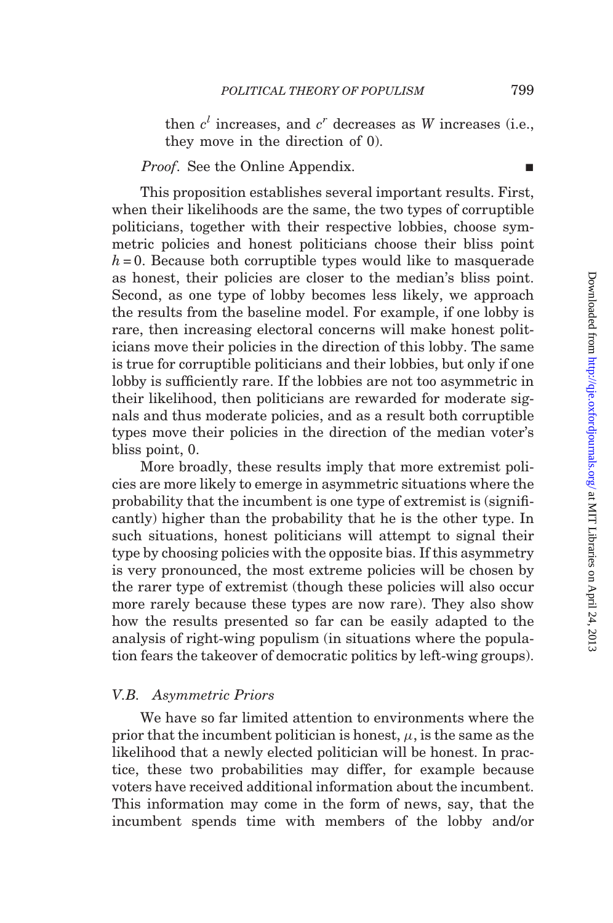then  $c<sup>l</sup>$  increases, and  $c<sup>r</sup>$  decreases as W increases (i.e., they move in the direction of 0).

## Proof. See the [Online Appendix.](http://hwmaint.qje.oxfordjournals.org/lookup/suppl/doi:10.1093/qje/qjs077/-/DC1)

This proposition establishes several important results. First, when their likelihoods are the same, the two types of corruptible politicians, together with their respective lobbies, choose symmetric policies and honest politicians choose their bliss point  $h = 0$ . Because both corruptible types would like to masquerade as honest, their policies are closer to the median's bliss point. Second, as one type of lobby becomes less likely, we approach the results from the baseline model. For example, if one lobby is rare, then increasing electoral concerns will make honest politicians move their policies in the direction of this lobby. The same is true for corruptible politicians and their lobbies, but only if one lobby is sufficiently rare. If the lobbies are not too asymmetric in their likelihood, then politicians are rewarded for moderate signals and thus moderate policies, and as a result both corruptible types move their policies in the direction of the median voter's bliss point, 0.

More broadly, these results imply that more extremist policies are more likely to emerge in asymmetric situations where the probability that the incumbent is one type of extremist is (significantly) higher than the probability that he is the other type. In such situations, honest politicians will attempt to signal their type by choosing policies with the opposite bias. If this asymmetry is very pronounced, the most extreme policies will be chosen by the rarer type of extremist (though these policies will also occur more rarely because these types are now rare). They also show how the results presented so far can be easily adapted to the analysis of right-wing populism (in situations where the population fears the takeover of democratic politics by left-wing groups).

## V.B. Asymmetric Priors

We have so far limited attention to environments where the prior that the incumbent politician is honest,  $\mu$ , is the same as the likelihood that a newly elected politician will be honest. In practice, these two probabilities may differ, for example because voters have received additional information about the incumbent. This information may come in the form of news, say, that the incumbent spends time with members of the lobby and/or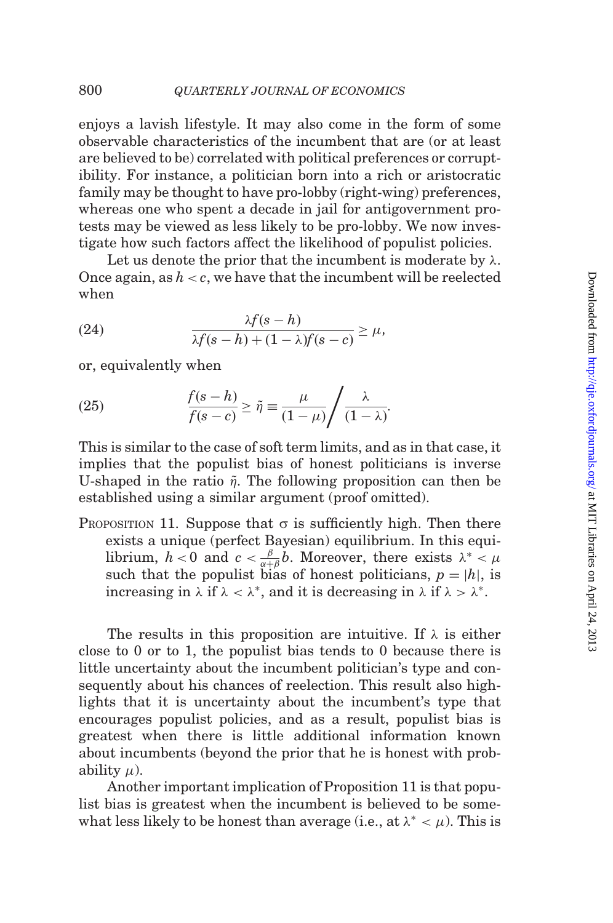enjoys a lavish lifestyle. It may also come in the form of some observable characteristics of the incumbent that are (or at least are believed to be) correlated with political preferences or corruptibility. For instance, a politician born into a rich or aristocratic family may be thought to have pro-lobby (right-wing) preferences, whereas one who spent a decade in jail for antigovernment protests may be viewed as less likely to be pro-lobby. We now investigate how such factors affect the likelihood of populist policies.

Let us denote the prior that the incumbent is moderate by  $\lambda$ . Once again, as  $h < c$ , we have that the incumbent will be reelected when

(24) 
$$
\frac{\lambda f(s-h)}{\lambda f(s-h) + (1-\lambda)f(s-c)} \ge \mu,
$$

or, equivalently when

(25) 
$$
\frac{f(s-h)}{f(s-c)} \ge \tilde{\eta} \equiv \frac{\mu}{(1-\mu)} / \frac{\lambda}{(1-\lambda)}.
$$

This is similar to the case of soft term limits, and as in that case, it implies that the populist bias of honest politicians is inverse U-shaped in the ratio  $\tilde{\eta}$ . The following proposition can then be established using a similar argument (proof omitted).

PROPOSITION 11. Suppose that  $\sigma$  is sufficiently high. Then there exists a unique (perfect Bayesian) equilibrium. In this equilibrium,  $h < 0$  and  $c < \frac{\beta}{\alpha + \beta} b$ . Moreover, there exists  $\lambda^* < \mu$ such that the populist bias of honest politicians,  $p = |h|$ , is increasing in  $\lambda$  if  $\lambda < \lambda^*$ , and it is decreasing in  $\lambda$  if  $\lambda > \lambda^*$ .

The results in this proposition are intuitive. If  $\lambda$  is either close to 0 or to 1, the populist bias tends to 0 because there is little uncertainty about the incumbent politician's type and consequently about his chances of reelection. This result also highlights that it is uncertainty about the incumbent's type that encourages populist policies, and as a result, populist bias is greatest when there is little additional information known about incumbents (beyond the prior that he is honest with probability  $\mu$ ).

Another important implication of Proposition 11 is that populist bias is greatest when the incumbent is believed to be somewhat less likely to be honest than average (i.e., at  $\lambda^* < \mu$ ). This is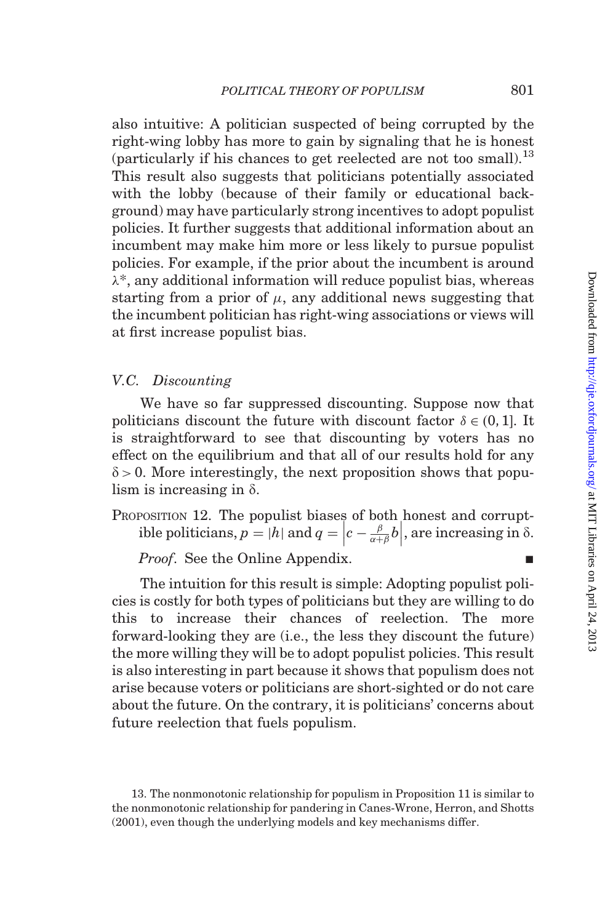also intuitive: A politician suspected of being corrupted by the right-wing lobby has more to gain by signaling that he is honest (particularly if his chances to get reelected are not too small).<sup>13</sup> This result also suggests that politicians potentially associated with the lobby (because of their family or educational background) may have particularly strong incentives to adopt populist policies. It further suggests that additional information about an incumbent may make him more or less likely to pursue populist policies. For example, if the prior about the incumbent is around  $\lambda^*$ , any additional information will reduce populist bias, whereas starting from a prior of  $\mu$ , any additional news suggesting that the incumbent politician has right-wing associations or views will at first increase populist bias.

## V.C. Discounting

We have so far suppressed discounting. Suppose now that politicians discount the future with discount factor  $\delta \in (0, 1]$ . It is straightforward to see that discounting by voters has no effect on the equilibrium and that all of our results hold for any  $\delta > 0$ . More interestingly, the next proposition shows that populism is increasing in  $\delta$ .

PROPOSITION 12. The populist biases of both honest and corruptible politicians,  $p=|h|$  and  $q=\left| c-\frac{\beta}{\alpha+\beta}b\right|$ , are increasing in  $\delta.$ 

Proof. See the [Online Appendix.](http://hwmaint.qje.oxfordjournals.org/lookup/suppl/doi:10.1093/qje/qjs077/-/DC1)

The intuition for this result is simple: Adopting populist policies is costly for both types of politicians but they are willing to do this to increase their chances of reelection. The more forward-looking they are (i.e., the less they discount the future) the more willing they will be to adopt populist policies. This result is also interesting in part because it shows that populism does not arise because voters or politicians are short-sighted or do not care about the future. On the contrary, it is politicians' concerns about future reelection that fuels populism.

<sup>13.</sup> The nonmonotonic relationship for populism in Proposition 11 is similar to the nonmonotonic relationship for pandering in [Canes-Wrone, Herron, and Shotts](#page-33-0) [\(2001\),](#page-33-0) even though the underlying models and key mechanisms differ.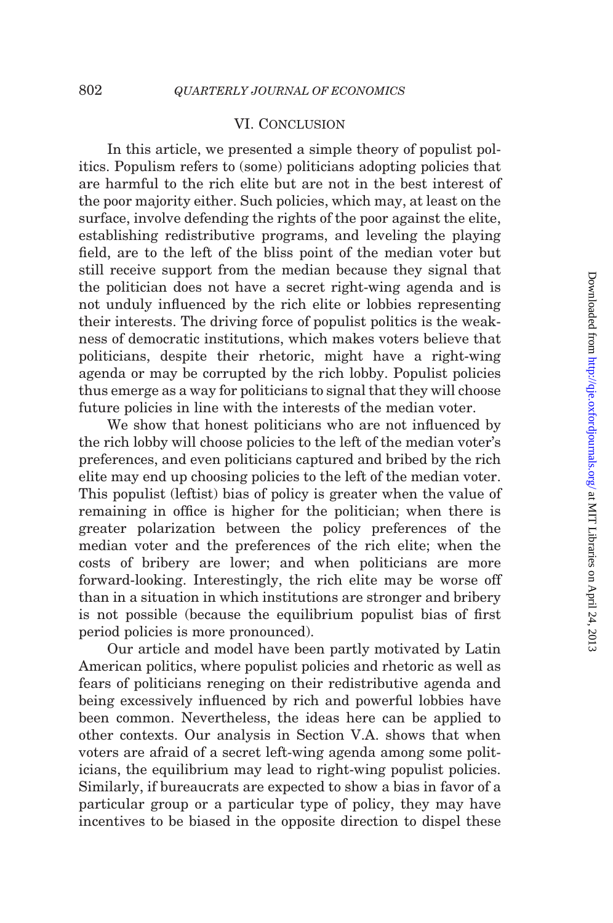## VI. Conclusion

In this article, we presented a simple theory of populist politics. Populism refers to (some) politicians adopting policies that are harmful to the rich elite but are not in the best interest of the poor majority either. Such policies, which may, at least on the surface, involve defending the rights of the poor against the elite, establishing redistributive programs, and leveling the playing field, are to the left of the bliss point of the median voter but still receive support from the median because they signal that the politician does not have a secret right-wing agenda and is not unduly influenced by the rich elite or lobbies representing their interests. The driving force of populist politics is the weakness of democratic institutions, which makes voters believe that politicians, despite their rhetoric, might have a right-wing agenda or may be corrupted by the rich lobby. Populist policies thus emerge as a way for politicians to signal that they will choose future policies in line with the interests of the median voter.

We show that honest politicians who are not influenced by the rich lobby will choose policies to the left of the median voter's preferences, and even politicians captured and bribed by the rich elite may end up choosing policies to the left of the median voter. This populist (leftist) bias of policy is greater when the value of remaining in office is higher for the politician; when there is greater polarization between the policy preferences of the median voter and the preferences of the rich elite; when the costs of bribery are lower; and when politicians are more forward-looking. Interestingly, the rich elite may be worse off than in a situation in which institutions are stronger and bribery is not possible (because the equilibrium populist bias of first period policies is more pronounced).

Our article and model have been partly motivated by Latin American politics, where populist policies and rhetoric as well as fears of politicians reneging on their redistributive agenda and being excessively influenced by rich and powerful lobbies have been common. Nevertheless, the ideas here can be applied to other contexts. Our analysis in Section V.A. shows that when voters are afraid of a secret left-wing agenda among some politicians, the equilibrium may lead to right-wing populist policies. Similarly, if bureaucrats are expected to show a bias in favor of a particular group or a particular type of policy, they may have incentives to be biased in the opposite direction to dispel these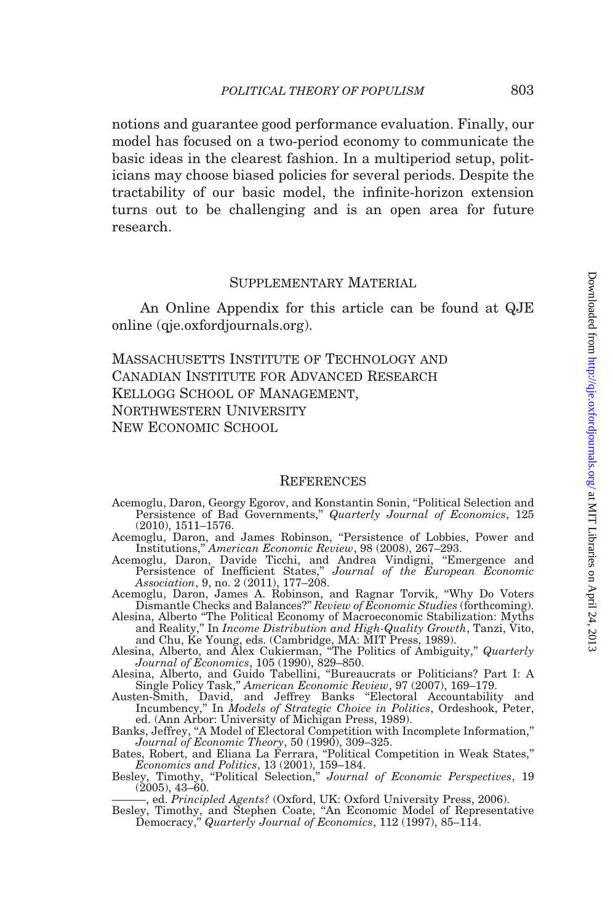<span id="page-32-0"></span>notions and guarantee good performance evaluation. Finally, our model has focused on a two-period economy to communicate the basic ideas in the clearest fashion. In a multiperiod setup, politicians may choose biased policies for several periods. Despite the tractability of our basic model, the infinite-horizon extension turns out to be challenging and is an open area for future research.

#### Supplementary Material

An [Online Appendix](http://hwmaint.qje.oxfordjournals.org/lookup/suppl/doi:10.1093/qje/qjs077/-/DC1) for this article can be found at QJE online [\(qje.oxfordjournals.org\)](http://qje.oxfordjournals.org).

Massachusetts Institute of Technology and Canadian Institute for Advanced Research Kellogg School of Management, Northwestern University NEW ECONOMIC SCHOOL

#### **REFERENCES**

- Acemoglu, Daron, Georgy Egorov, and Konstantin Sonin, ''Political Selection and Persistence of Bad Governments," Quarterly Journal of Economics, 125 (2010), 1511–1576.
- Acemoglu, Daron, and James Robinson, "Persistence of Lobbies, Power and<br>Institutions," American Economic Review, 98 (2008), 267–293.<br>Acemoglu, Daron, Davide Ticchi, and Andrea Vindigni, "Emergence and
- Persistence of Inefficient States," Journal of the European Economic
- Association, 9, no. 2 (2011), 177–208. Acemoglu, Daron, James A. Robinson, and Ragnar Torvik, ''Why Do Voters Dismantle Checks and Balances?" Review of Economic Studies (forthcoming).
- Alesina, Alberto ''The Political Economy of Macroeconomic Stabilization: Myths and Reality," In *Income Distribution and High-Quality Growth*, Tanzi, Vito, and Chu, Ke Young, eds. (Cambridge, MA: MIT Press, 1989). Alesina, Alberto, and Alex Cukierman, "The Politics of Ambiguity," *Quarterly*
- Journal of Economics, 105 (1990), 829–850.
- Alesina, Alberto, and Guido Tabellini, ''Bureaucrats or Politicians? Part I: A Single Policy Task,'' American Economic Review, 97 (2007), 169–179. Austen-Smith, David, and Jeffrey Banks ''Electoral Accountability and
- Incumbency,'' In Models of Strategic Choice in Politics, Ordeshook, Peter, ed. (Ann Arbor: University of Michigan Press, 1989).
- Banks, Jeffrey, ''A Model of Electoral Competition with Incomplete Information,'' Journal of Economic Theory, 50 (1990), 309–325.
- Bates, Robert, and Eliana La Ferrara, ''Political Competition in Weak States,'' Economics and Politics, 13 (2001), 159–184. Besley, Timothy, ''Political Selection,'' Journal of Economic Perspectives, 19
- $(2005)$ , 43–60.

———, ed. Principled Agents? (Oxford, UK: Oxford University Press, 2006). Besley, Timothy, and Stephen Coate, ''An Economic Model of Representative Democracy,'' Quarterly Journal of Economics, 112 (1997), 85–114.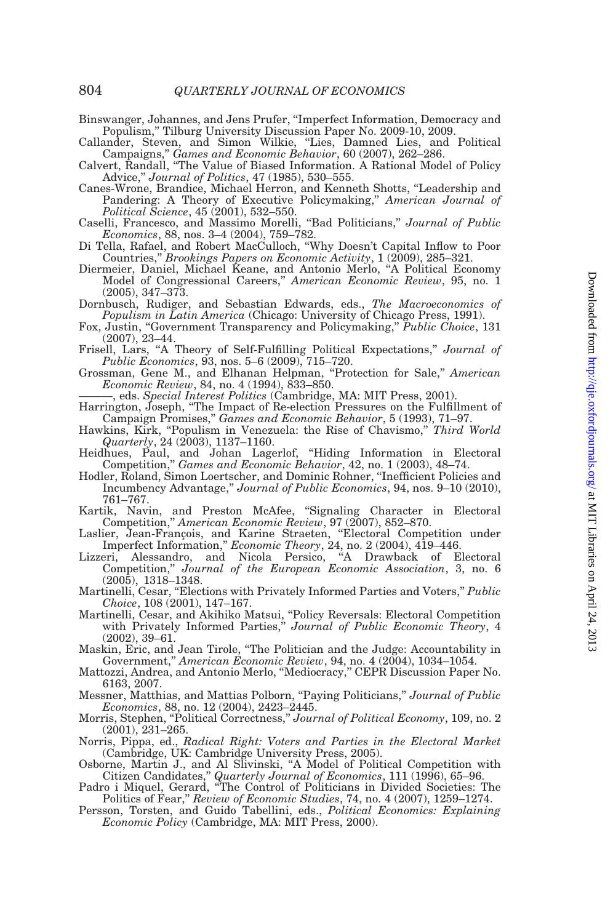<span id="page-33-0"></span>Binswanger, Johannes, and Jens Prufer, ''Imperfect Information, Democracy and

Populism,'' Tilburg University Discussion Paper No. 2009-10, 2009. Callander, Steven, and Simon Wilkie, ''Lies, Damned Lies, and Political

Campaigns," *Games and Economic Behavior*, 60 (2007), 262–286.<br>Calvert, Randall, "The Value of Biased Information. A Rational Model of Policy Advice,'' Journal of Politics, 47 (1985), 530–555.

- Canes-Wrone, Brandice, Michael Herron, and Kenneth Shotts, ''Leadership and Pandering: A Theory of Executive Policymaking,'' American Journal of Political Science, 45 (2001), 532–550.
- Caselli, Francesco, and Massimo Morelli, ''Bad Politicians,'' Journal of Public Economics, 88, nos. 3–4 (2004), 759–782.
- Di Tella, Rafael, and Robert MacCulloch, ''Why Doesn't Capital Inflow to Poor
- Countries," *Brookings Papers on Economic Activity*, 1 (2009), 285–321.<br>Diermeier, Daniel, Michael Keane, and Antonio Merlo, "A Political Economy Model of Congressional Careers,'' American Economic Review, 95, no. 1 (2005), 347–373.
- Dornbusch, Rudiger, and Sebastian Edwards, eds., The Macroeconomics of Populism in Latin America (Chicago: University of Chicago Press, 1991).
- Fox, Justin, "Government Transparency and Policymaking," Public Choice, 131 (2007), 23–44.
- Frisell, Lars, "A Theory of Self-Fulfilling Political Expectations," Journal of
- Public Economics, 93, nos. 5–6 (2009), 715–720.<br>Grossman, Gene M., and Elhanan Helpman, "Protection for Sale," American Economic Review, 84, no. 4 (1994), 833–850.

–, eds. Special Interest Politics (Cambridge, MA: MIT Press, 2001).

- Harrington, Joseph, "The Impact of Re-election Pressures on the Fulfillment of
- Campaign Promises,'' Games and Economic Behavior, 5 (1993), 71–97. Hawkins, Kirk, ''Populism in Venezuela: the Rise of Chavismo,'' Third World Quarterly, 24 (2003), 1137–1160.
- Heidhues, Paul, and Johan Lagerlof, ''Hiding Information in Electoral Competition,'' Games and Economic Behavior, 42, no. 1 (2003), 48–74.
- Hodler, Roland, Simon Loertscher, and Dominic Rohner, ''Inefficient Policies and Incumbency Advantage,'' Journal of Public Economics, 94, nos. 9–10 (2010), 761–767.
- Kartik, Navin, and Preston McAfee, ''Signaling Character in Electoral Competition,'' American Economic Review, 97 (2007), 852–870.
- Laslier, Jean-François, and Karine Straeten, "Electoral Competition under
- Imperfect Information,'' Economic Theory, 24, no. 2 (2004), 419–446. Lizzeri, Alessandro, and Nicola Persico, ''A Drawback of Electoral Competition,'' Journal of the European Economic Association, 3, no. 6 (2005), 1318–1348.
- Martinelli, Cesar, "Elections with Privately Informed Parties and Voters," Public Choice, 108 (2001), 147–167.
- Martinelli, Cesar, and Akihiko Matsui, ''Policy Reversals: Electoral Competition with Privately Informed Parties," Journal of Public Economic Theory, 4 (2002), 39–61.
- Maskin, Eric, and Jean Tirole, ''The Politician and the Judge: Accountability in Government,'' American Economic Review, 94, no. 4 (2004), 1034–1054.
- Mattozzi, Andrea, and Antonio Merlo, ''Mediocracy,'' CEPR Discussion Paper No. 6163, 2007.
- Messner, Matthias, and Mattias Polborn, "Paying Politicians," Journal of Public Economics, 88, no. 12 (2004), 2423–2445.
- Morris, Stephen, ''Political Correctness,'' Journal of Political Economy, 109, no. 2 (2001), 231–265.
- Norris, Pippa, ed., Radical Right: Voters and Parties in the Electoral Market (Cambridge, UK: Cambridge University Press, 2005).
- Osborne, Martin J., and Al Slivinski, ''A Model of Political Competition with Citizen Candidates," Quarterly Journal of Economics, 111 (1996), 65–96.<br>Padro i Miquel, Gerard, "The Control of Politicians in Divided Societies: The
- Politics of Fear,'' Review of Economic Studies, 74, no. 4 (2007), 1259–1274.
- Persson, Torsten, and Guido Tabellini, eds., Political Economics: Explaining Economic Policy (Cambridge, MA: MIT Press, 2000).